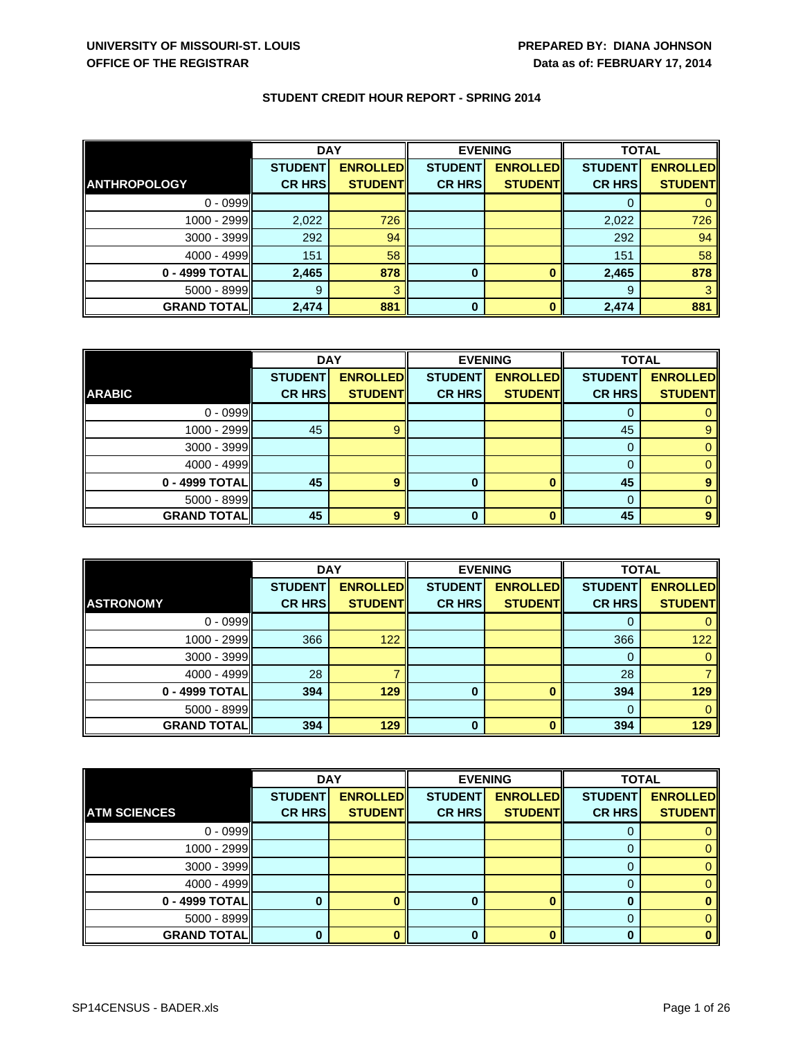|                     | <b>DAY</b>     |                  | <b>EVENING</b> |                 | <b>TOTAL</b>   |                 |
|---------------------|----------------|------------------|----------------|-----------------|----------------|-----------------|
|                     | <b>STUDENT</b> | <b>ENROLLEDI</b> | <b>STUDENT</b> | <b>ENROLLED</b> | <b>STUDENT</b> | <b>ENROLLED</b> |
| <b>ANTHROPOLOGY</b> | <b>CR HRS</b>  | <b>STUDENT</b>   | <b>CR HRS</b>  | <b>STUDENT</b>  | <b>CR HRS</b>  | <b>STUDENT</b>  |
| $0 - 0999$          |                |                  |                |                 |                |                 |
| 1000 - 2999         | 2,022          | 726              |                |                 | 2,022          | 726             |
| 3000 - 3999         | 292            | 94               |                |                 | 292            | 94              |
| $4000 - 4999$       | 151            | 58               |                |                 | 151            | 58              |
| 0 - 4999 TOTAL      | 2,465          | 878              | 0              | o               | 2,465          | 878             |
| 5000 - 8999         | 9              |                  |                |                 | 9              |                 |
| <b>GRAND TOTAL</b>  | 2,474          | 881              | $\bf{0}$       | n               | 2,474          | 881             |

|                    | <b>DAY</b>     |                 |                | <b>EVENING</b>  | <b>TOTAL</b>   |                 |
|--------------------|----------------|-----------------|----------------|-----------------|----------------|-----------------|
|                    | <b>STUDENT</b> | <b>ENROLLED</b> | <b>STUDENT</b> | <b>ENROLLED</b> | <b>STUDENT</b> | <b>ENROLLED</b> |
| <b>ARABIC</b>      | <b>CR HRS</b>  | <b>STUDENT</b>  | <b>CR HRS</b>  | <b>STUDENT</b>  | <b>CR HRS</b>  | <b>STUDENT</b>  |
| $0 - 0999$         |                |                 |                |                 |                |                 |
| $1000 - 2999$      | 45             |                 |                |                 | 45             |                 |
| $3000 - 3999$      |                |                 |                |                 | 0              |                 |
| $4000 - 4999$      |                |                 |                |                 | $\Omega$       |                 |
| 0 - 4999 TOTAL     | 45             | 9               | 0              |                 | 45             |                 |
| $5000 - 8999$      |                |                 |                |                 | 0              |                 |
| <b>GRAND TOTAL</b> | 45             | $\bullet$       |                |                 | 45             |                 |

|                    | <b>DAY</b>     |                 | <b>EVENING</b> |                 | <b>TOTAL</b>   |                 |
|--------------------|----------------|-----------------|----------------|-----------------|----------------|-----------------|
|                    | <b>STUDENT</b> | <b>ENROLLED</b> | <b>STUDENT</b> | <b>ENROLLED</b> | <b>STUDENT</b> | <b>ENROLLED</b> |
| <b>ASTRONOMY</b>   | <b>CR HRS</b>  | <b>STUDENT</b>  | <b>CR HRS</b>  | <b>STUDENT</b>  | <b>CR HRS</b>  | <b>STUDENT</b>  |
| $0 - 0999$         |                |                 |                |                 | U              |                 |
| 1000 - 2999        | 366            | 122             |                |                 | 366            | 122             |
| $3000 - 3999$      |                |                 |                |                 | 0              |                 |
| $4000 - 4999$      | 28             |                 |                |                 | 28             |                 |
| 0 - 4999 TOTAL     | 394            | 129             | $\Omega$       | o               | 394            | 129             |
| 5000 - 8999        |                |                 |                |                 | 0              |                 |
| <b>GRAND TOTAL</b> | 394            | 129             |                |                 | 394            | 129             |

|                     | <b>DAY</b>     |                 | <b>EVENING</b> |                 | <b>TOTAL</b>   |                 |
|---------------------|----------------|-----------------|----------------|-----------------|----------------|-----------------|
|                     | <b>STUDENT</b> | <b>ENROLLED</b> | <b>STUDENT</b> | <b>ENROLLED</b> | <b>STUDENT</b> | <b>ENROLLED</b> |
| <b>ATM SCIENCES</b> | <b>CR HRS</b>  | <b>STUDENT</b>  | <b>CR HRS</b>  | <b>STUDENT</b>  | <b>CR HRS</b>  | <b>STUDENT</b>  |
| $0 - 0999$          |                |                 |                |                 |                |                 |
| 1000 - 2999         |                |                 |                |                 | $\Omega$       |                 |
| $3000 - 3999$       |                |                 |                |                 | 0              |                 |
| $4000 - 4999$       |                |                 |                |                 |                |                 |
| 0 - 4999 TOTAL      |                |                 | o              |                 | 0              |                 |
| $5000 - 8999$       |                |                 |                |                 | 0              |                 |
| <b>GRAND TOTAL</b>  |                |                 |                |                 | ŋ              |                 |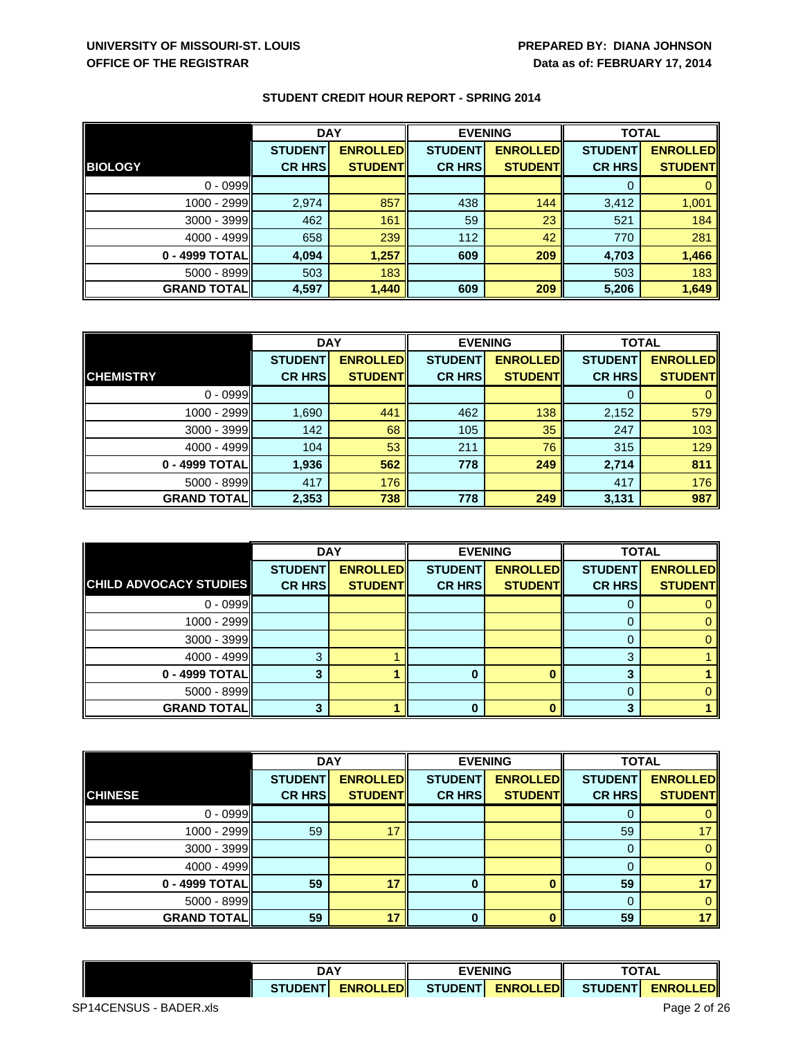|                     | <b>DAY</b>     |                 | <b>EVENING</b> |                 | <b>TOTAL</b>   |                 |  |  |
|---------------------|----------------|-----------------|----------------|-----------------|----------------|-----------------|--|--|
|                     | <b>STUDENT</b> | <b>ENROLLED</b> | <b>STUDENT</b> | <b>ENROLLED</b> | <b>STUDENT</b> | <b>ENROLLED</b> |  |  |
| <b>BIOLOGY</b>      | <b>CR HRS</b>  | <b>STUDENT</b>  | <b>CR HRS</b>  | <b>STUDENT</b>  | <b>CR HRS</b>  | <b>STUDENT</b>  |  |  |
| $0 - 0999$          |                |                 |                |                 | 0              |                 |  |  |
| 1000 - 2999         | 2,974          | 857             | 438            | 144             | 3,412          | 1,001           |  |  |
| 3000 - 3999         | 462            | 161             | 59             | 23              | 521            | 184             |  |  |
| $4000 - 4999$       | 658            | 239             | 112            | 42              | 770            | 281             |  |  |
| 0 - 4999 TOTALI     | 4,094          | 1,257           | 609            | 209             | 4,703          | 1,466           |  |  |
| $5000 - 8999$       | 503            | 183             |                |                 | 503            | 183             |  |  |
| <b>GRAND TOTALI</b> | 4,597          | 1,440           | 609            | 209             | 5,206          | 1,649           |  |  |

|                    | <b>DAY</b>     |                 | <b>EVENING</b> |                 | <b>TOTAL</b>   |                 |
|--------------------|----------------|-----------------|----------------|-----------------|----------------|-----------------|
|                    | <b>STUDENT</b> | <b>ENROLLED</b> | <b>STUDENT</b> | <b>ENROLLED</b> | <b>STUDENT</b> | <b>ENROLLED</b> |
| <b>CHEMISTRY</b>   | <b>CR HRS</b>  | <b>STUDENT</b>  | <b>CR HRS</b>  | <b>STUDENT</b>  | <b>CR HRS</b>  | <b>STUDENT</b>  |
| $0 - 0999$         |                |                 |                |                 | $\Omega$       |                 |
| 1000 - 2999        | 1,690          | 441             | 462            | 138             | 2,152          | 579             |
| 3000 - 3999        | 142            | 68              | 105            | 35              | 247            | 103             |
| $4000 - 4999$      | 104            | 53              | 211            | 76              | 315            | 129             |
| 0 - 4999 TOTAL     | 1,936          | 562             | 778            | 249             | 2,714          | 811             |
| 5000 - 8999        | 417            | 176             |                |                 | 417            | 176             |
| <b>GRAND TOTAL</b> | 2,353          | 738             | 778            | 249             | 3,131          | 987             |

|                               | <b>DAY</b>     |                 |                | <b>EVENING</b>  | <b>TOTAL</b>   |                 |
|-------------------------------|----------------|-----------------|----------------|-----------------|----------------|-----------------|
|                               | <b>STUDENT</b> | <b>ENROLLED</b> | <b>STUDENT</b> | <b>ENROLLED</b> | <b>STUDENT</b> | <b>ENROLLED</b> |
| <b>CHILD ADVOCACY STUDIES</b> | <b>CR HRS</b>  | <b>STUDENT</b>  | <b>CR HRS</b>  | <b>STUDENT</b>  | <b>CR HRS</b>  | <b>STUDENT</b>  |
| $0 - 0999$                    |                |                 |                |                 |                |                 |
| 1000 - 2999                   |                |                 |                |                 |                |                 |
| 3000 - 3999                   |                |                 |                |                 | 0              |                 |
| 4000 - 4999                   | ≏              |                 |                |                 | 2              |                 |
| 0 - 4999 TOTAL                |                |                 |                |                 | ≏              |                 |
| $5000 - 8999$                 |                |                 |                |                 | 0              |                 |
| <b>GRAND TOTAL</b>            |                |                 |                |                 | ≏              |                 |

|                    | <b>DAY</b>     |                 | <b>EVENING</b> |                 | <b>TOTAL</b>   |                 |
|--------------------|----------------|-----------------|----------------|-----------------|----------------|-----------------|
|                    | <b>STUDENT</b> | <b>ENROLLED</b> | <b>STUDENT</b> | <b>ENROLLED</b> | <b>STUDENT</b> | <b>ENROLLED</b> |
| <b>CHINESE</b>     | <b>CR HRS</b>  | <b>STUDENT</b>  | <b>CR HRS</b>  | <b>STUDENT</b>  | <b>CR HRS</b>  | <b>STUDENT</b>  |
| $0 - 0999$         |                |                 |                |                 | O              |                 |
| 1000 - 2999        | 59             | 17              |                |                 | 59             |                 |
| 3000 - 3999        |                |                 |                |                 | 0              |                 |
| $4000 - 4999$      |                |                 |                |                 | $\Omega$       |                 |
| 0 - 4999 TOTAL     | 59             | 17              | 0              |                 | 59             |                 |
| 5000 - 8999        |                |                 |                |                 | $\Omega$       |                 |
| <b>GRAND TOTAL</b> | 59             | 17              |                |                 | 59             |                 |

| <b>DAY</b>    |                  | <b>EVENING</b> |                             | ΤΟΤΑL          |                       |
|---------------|------------------|----------------|-----------------------------|----------------|-----------------------|
| <b>STUDEN</b> | <b>ENROLLEDI</b> | <b>STUDENT</b> | <b>EDI</b><br><b>ENROLL</b> | <b>STUDENT</b> | .EDII<br><b>ENROL</b> |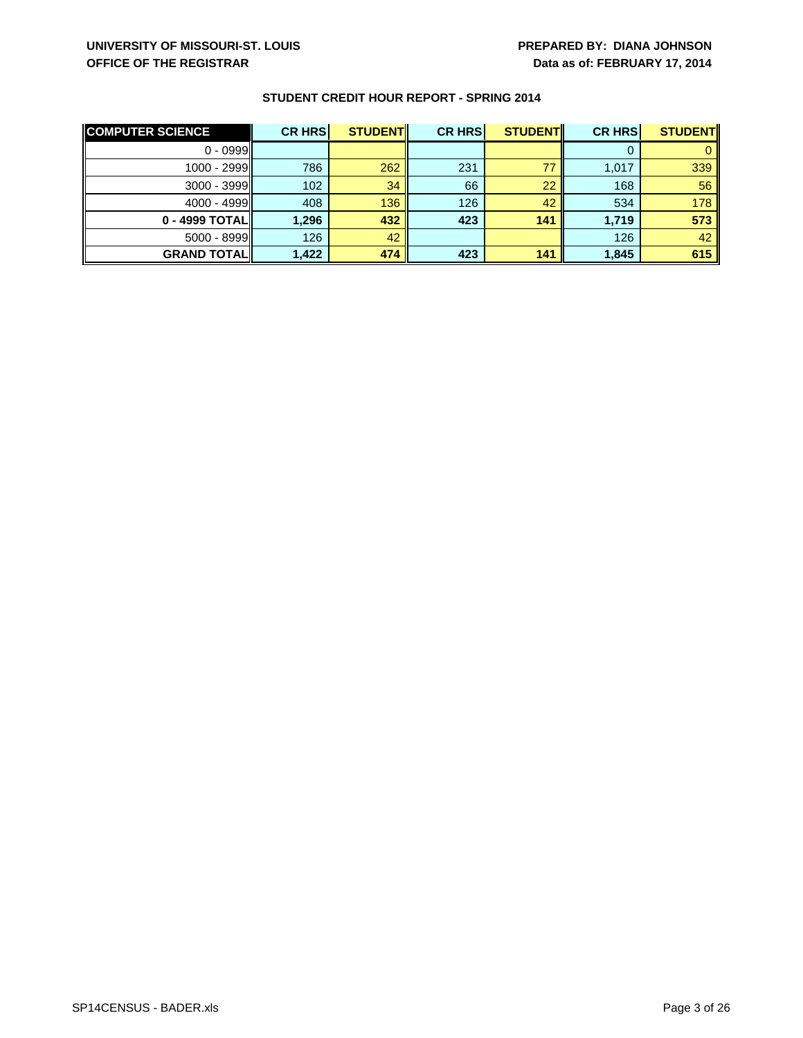| <b>COMPUTER SCIENCE</b> | <b>CR HRS</b> | <b>STUDENT</b> | <b>CR HRS</b> | <b>STUDENT</b> | <b>CR HRS</b> | <b>STUDENT</b> |
|-------------------------|---------------|----------------|---------------|----------------|---------------|----------------|
| $0 - 0999$              |               |                |               |                |               |                |
| $1000 - 2999$           | 786           | 262            | 231           | 77             | 1,017         | 339            |
| $3000 - 3999$           | 102           | 34             | 66            | 22             | 168           | 56             |
| $4000 - 4999$           | 408           | 136            | 126           | 42             | 534           | 178            |
| 0 - 4999 TOTAL          | 1.296         | 432            | 423           | 141            | 1.719         | 573            |
| $5000 - 8999$           | 126           | 42             |               |                | 126           | 42             |
| <b>GRAND TOTAL</b>      | 1,422         | 474            | 423           | 141            | 1,845         | 615            |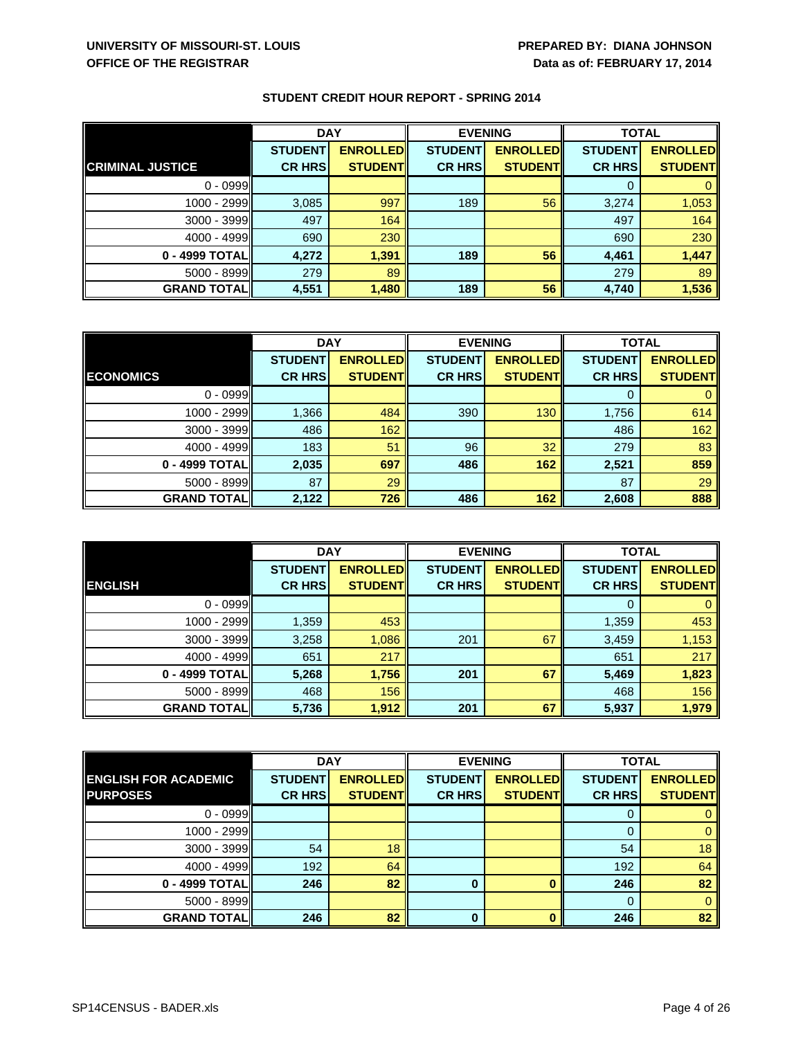|                         | <b>DAY</b>     |                 | <b>EVENING</b> |                 | <b>TOTAL</b>   |                 |
|-------------------------|----------------|-----------------|----------------|-----------------|----------------|-----------------|
|                         | <b>STUDENT</b> | <b>ENROLLED</b> | <b>STUDENT</b> | <b>ENROLLED</b> | <b>STUDENT</b> | <b>ENROLLED</b> |
| <b>CRIMINAL JUSTICE</b> | <b>CR HRS</b>  | <b>STUDENT</b>  | <b>CR HRS</b>  | <b>STUDENT</b>  | <b>CR HRS</b>  | <b>STUDENT</b>  |
| $0 - 0999$              |                |                 |                |                 | 0              |                 |
| 1000 - 2999             | 3,085          | 997             | 189            | 56              | 3,274          | 1,053           |
| $3000 - 3999$           | 497            | 164             |                |                 | 497            | 164             |
| 4000 - 4999             | 690            | 230             |                |                 | 690            | 230             |
| 0 - 4999 TOTALI         | 4.272          | 1,391           | 189            | 56              | 4,461          | 1,447           |
| 5000 - 8999             | 279            | 89              |                |                 | 279            | 89              |
| <b>GRAND TOTAL</b>      | 4,551          | 1,480           | 189            | 56              | 4,740          | 1,536           |

|                     | <b>DAY</b>     |                 | <b>EVENING</b> |                 | <b>TOTAL</b>   |                 |
|---------------------|----------------|-----------------|----------------|-----------------|----------------|-----------------|
|                     | <b>STUDENT</b> | <b>ENROLLED</b> | <b>STUDENT</b> | <b>ENROLLED</b> | <b>STUDENT</b> | <b>ENROLLED</b> |
| <b>ECONOMICS</b>    | <b>CR HRS</b>  | <b>STUDENT</b>  | <b>CR HRS</b>  | <b>STUDENT</b>  | <b>CR HRS</b>  | <b>STUDENT</b>  |
| $0 - 0999$          |                |                 |                |                 |                | 0               |
| $1000 - 2999$       | 1,366          | 484             | 390            | 130             | 1,756          | 614             |
| $3000 - 3999$       | 486            | 162             |                |                 | 486            | 162             |
| $4000 - 4999$       | 183            | 51              | 96             | 32              | 279            | 83              |
| 0 - 4999 TOTAL      | 2,035          | 697             | 486            | 162             | 2,521          | 859             |
| $5000 - 8999$       | 87             | 29              |                |                 | 87             | 29              |
| <b>GRAND TOTALI</b> | 2,122          | 726             | 486            | 162             | 2,608          | 888             |

|                    | <b>DAY</b>     |                 | <b>EVENING</b> |                 | <b>TOTAL</b>   |                 |
|--------------------|----------------|-----------------|----------------|-----------------|----------------|-----------------|
|                    | <b>STUDENT</b> | <b>ENROLLED</b> | <b>STUDENT</b> | <b>ENROLLED</b> | <b>STUDENT</b> | <b>ENROLLED</b> |
| <b>ENGLISH</b>     | <b>CR HRS</b>  | <b>STUDENT</b>  | <b>CR HRS</b>  | <b>STUDENT</b>  | <b>CR HRS</b>  | <b>STUDENT</b>  |
| $0 - 0999$         |                |                 |                |                 | 0              |                 |
| 1000 - 2999        | 1,359          | 453             |                |                 | 1,359          | 453             |
| 3000 - 3999        | 3,258          | 1,086           | 201            | 67              | 3,459          | 1,153           |
| 4000 - 4999        | 651            | 217             |                |                 | 651            | 217             |
| 0 - 4999 TOTAL     | 5,268          | 1,756           | 201            | 67              | 5,469          | 1,823           |
| 5000 - 8999        | 468            | 156             |                |                 | 468            | 156             |
| <b>GRAND TOTAL</b> | 5,736          | 1,912           | 201            | 67              | 5,937          | 1,979           |

|                             | <b>DAY</b>     |                  | <b>EVENING</b> |                 | <b>TOTAL</b>   |                 |
|-----------------------------|----------------|------------------|----------------|-----------------|----------------|-----------------|
| <b>ENGLISH FOR ACADEMIC</b> | <b>STUDENT</b> | <b>ENROLLEDI</b> | <b>STUDENT</b> | <b>ENROLLED</b> | <b>STUDENT</b> | <b>ENROLLED</b> |
| <b>PURPOSES</b>             | <b>CR HRS</b>  | <b>STUDENT</b>   | <b>CR HRS</b>  | <b>STUDENT</b>  | <b>CR HRS</b>  | <b>STUDENT</b>  |
| $0 - 0999$                  |                |                  |                |                 | O              |                 |
| 1000 - 2999                 |                |                  |                |                 |                |                 |
| $3000 - 3999$               | 54             | 18               |                |                 | 54             | 18              |
| $4000 - 4999$               | 192            | 64               |                |                 | 192            | 64              |
| 0 - 4999 TOTAL              | 246            | 82               |                |                 | 246            | 82              |
| 5000 - 8999                 |                |                  |                |                 | $\Omega$       |                 |
| <b>GRAND TOTAL</b>          | 246            | 82               | 0              |                 | 246            | 82              |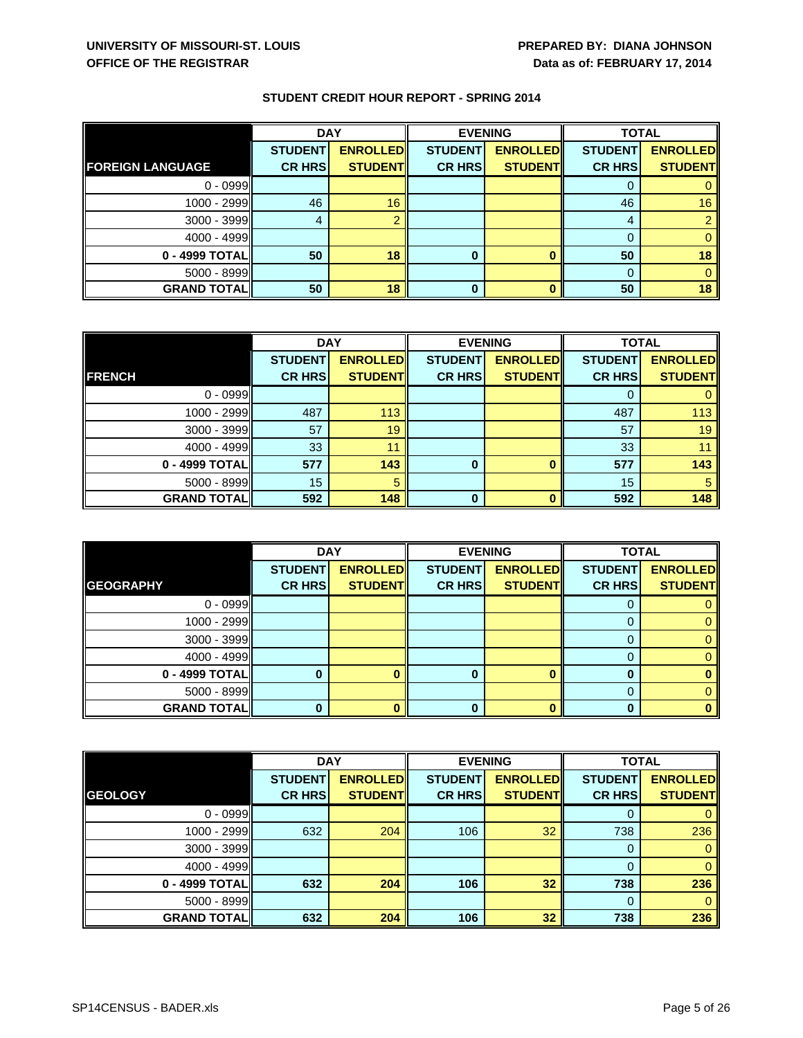|                         | <b>DAY</b>     |                 | <b>EVENING</b> |                 |                | <b>TOTAL</b>    |  |
|-------------------------|----------------|-----------------|----------------|-----------------|----------------|-----------------|--|
|                         | <b>STUDENT</b> | <b>ENROLLED</b> | <b>STUDENT</b> | <b>ENROLLED</b> | <b>STUDENT</b> | <b>ENROLLED</b> |  |
| <b>FOREIGN LANGUAGE</b> | <b>CR HRS</b>  | <b>STUDENT</b>  | <b>CR HRS</b>  | <b>STUDENT</b>  | <b>CR HRS</b>  | <b>STUDENT</b>  |  |
| $0 - 0999$              |                |                 |                |                 | O              |                 |  |
| 1000 - 2999             | 46             | 16              |                |                 | 46             | 16              |  |
| 3000 - 3999             |                |                 |                |                 | 4              |                 |  |
| 4000 - 4999             |                |                 |                |                 | $\Omega$       |                 |  |
| 0 - 4999 TOTAL          | 50             | 18              |                |                 | 50             | 18              |  |
| 5000 - 8999             |                |                 |                |                 | $\Omega$       |                 |  |
| <b>GRAND TOTAL</b>      | 50             | 18              | 0              |                 | 50             | 18              |  |

|                    | <b>DAY</b>     |                 | <b>EVENING</b> |                 | <b>TOTAL</b>   |                 |
|--------------------|----------------|-----------------|----------------|-----------------|----------------|-----------------|
|                    | <b>STUDENT</b> | <b>ENROLLED</b> | <b>STUDENT</b> | <b>ENROLLED</b> | <b>STUDENT</b> | <b>ENROLLED</b> |
| <b>FRENCH</b>      | <b>CR HRS</b>  | <b>STUDENTI</b> | <b>CR HRS</b>  | <b>STUDENT</b>  | <b>CR HRS</b>  | <b>STUDENT</b>  |
| $0 - 0999$         |                |                 |                |                 |                |                 |
| 1000 - 2999        | 487            | 113             |                |                 | 487            | 113             |
| $3000 - 3999$      | 57             | 19              |                |                 | 57             | 19              |
| 4000 - 4999        | 33             | 11              |                |                 | 33             |                 |
| 0 - 4999 TOTAL     | 577            | 143             | 0              |                 | 577            | 143             |
| $5000 - 8999$      | 15             |                 |                |                 | 15             |                 |
| <b>GRAND TOTAL</b> | 592            | 148             | 0              |                 | 592            | 148             |

|                    | <b>DAY</b>     |                 | <b>EVENING</b> |                 | <b>TOTAL</b>   |                 |
|--------------------|----------------|-----------------|----------------|-----------------|----------------|-----------------|
|                    | <b>STUDENT</b> | <b>ENROLLED</b> | <b>STUDENT</b> | <b>ENROLLED</b> | <b>STUDENT</b> | <b>ENROLLED</b> |
| <b>GEOGRAPHY</b>   | <b>CR HRS</b>  | <b>STUDENT</b>  | <b>CR HRS</b>  | <b>STUDENT</b>  | <b>CR HRS</b>  | <b>STUDENT</b>  |
| $0 - 0999$         |                |                 |                |                 |                |                 |
| 1000 - 2999        |                |                 |                |                 |                |                 |
| 3000 - 3999        |                |                 |                |                 | $\Omega$       |                 |
| $4000 - 4999$      |                |                 |                |                 |                |                 |
| 0 - 4999 TOTAL     |                |                 |                |                 | 0              |                 |
| 5000 - 8999        |                |                 |                |                 | 0              |                 |
| <b>GRAND TOTAL</b> |                |                 |                |                 | n              |                 |

|                    | <b>DAY</b>     |                 | <b>EVENING</b> |                 | <b>TOTAL</b>   |                 |
|--------------------|----------------|-----------------|----------------|-----------------|----------------|-----------------|
|                    | <b>STUDENT</b> | <b>ENROLLED</b> | <b>STUDENT</b> | <b>ENROLLED</b> | <b>STUDENT</b> | <b>ENROLLED</b> |
| <b>GEOLOGY</b>     | <b>CR HRS</b>  | <b>STUDENT</b>  | <b>CR HRS</b>  | <b>STUDENT</b>  | <b>CR HRS</b>  | <b>STUDENT</b>  |
| $0 - 0999$         |                |                 |                |                 | 0              |                 |
| 1000 - 2999        | 632            | 204             | 106            | 32              | 738            | 236             |
| $3000 - 3999$      |                |                 |                |                 | 0              |                 |
| $4000 - 4999$      |                |                 |                |                 | $\Omega$       |                 |
| 0 - 4999 TOTAL     | 632            | 204             | 106            | 32              | 738            | 236             |
| 5000 - 8999        |                |                 |                |                 | 0              |                 |
| <b>GRAND TOTAL</b> | 632            | 204             | 106            | 32              | 738            | 236             |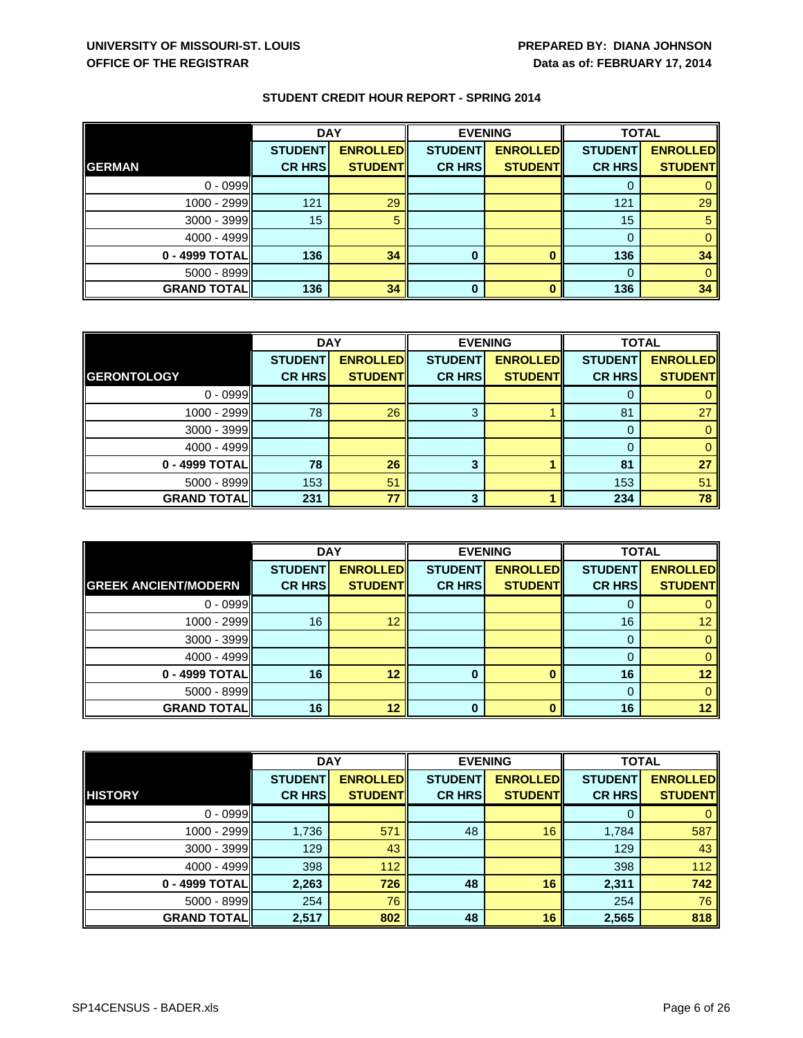|                    | <b>DAY</b>     |                 | <b>EVENING</b> |                 | <b>TOTAL</b>   |                 |
|--------------------|----------------|-----------------|----------------|-----------------|----------------|-----------------|
|                    | <b>STUDENT</b> | <b>ENROLLED</b> | <b>STUDENT</b> | <b>ENROLLED</b> | <b>STUDENT</b> | <b>ENROLLED</b> |
| <b>GERMAN</b>      | <b>CR HRS</b>  | <b>STUDENT</b>  | <b>CR HRS</b>  | <b>STUDENT</b>  | <b>CR HRS</b>  | <b>STUDENT</b>  |
| $0 - 0999$         |                |                 |                |                 | O              |                 |
| 1000 - 2999        | 121            | 29              |                |                 | 121            | 29              |
| 3000 - 3999        | 15             |                 |                |                 | 15             |                 |
| $4000 - 4999$      |                |                 |                |                 | 0              |                 |
| 0 - 4999 TOTAL     | 136            | 34              | 0              |                 | 136            | 34              |
| 5000 - 8999        |                |                 |                |                 | $\Omega$       |                 |
| <b>GRAND TOTAL</b> | 136            | 34              | 0              |                 | 136            | 34              |

|                     | <b>DAY</b>     |                 | <b>EVENING</b> |                 | <b>TOTAL</b>   |                 |
|---------------------|----------------|-----------------|----------------|-----------------|----------------|-----------------|
|                     | <b>STUDENT</b> | <b>ENROLLED</b> | <b>STUDENT</b> | <b>ENROLLED</b> | <b>STUDENT</b> | <b>ENROLLED</b> |
| <b>GERONTOLOGY</b>  | <b>CR HRS</b>  | <b>STUDENT</b>  | <b>CR HRS</b>  | <b>STUDENT</b>  | <b>CR HRS</b>  | <b>STUDENT</b>  |
| $0 - 0999$          |                |                 |                |                 |                |                 |
| 1000 - 2999         | 78             | 26              | 3              |                 | 81             | 27              |
| 3000 - 3999         |                |                 |                |                 |                |                 |
| 4000 - 4999         |                |                 |                |                 |                |                 |
| 0 - 4999 TOTAL      | 78             | 26              | 3              |                 | 81             | 27              |
| 5000 - 8999         | 153            | 51              |                |                 | 153            | 51              |
| <b>GRAND TOTALI</b> | 231            | 77              | 3              |                 | 234            | 78              |

|                             | <b>DAY</b>     |                 | <b>EVENING</b> |                 | <b>TOTAL</b>   |                 |
|-----------------------------|----------------|-----------------|----------------|-----------------|----------------|-----------------|
|                             | <b>STUDENT</b> | <b>ENROLLED</b> | <b>STUDENT</b> | <b>ENROLLED</b> | <b>STUDENT</b> | <b>ENROLLED</b> |
| <b>GREEK ANCIENT/MODERN</b> | <b>CR HRS</b>  | <b>STUDENT</b>  | <b>CR HRS</b>  | <b>STUDENT</b>  | <b>CR HRS</b>  | <b>STUDENT</b>  |
| $0 - 0999$                  |                |                 |                |                 |                |                 |
| 1000 - 2999                 | 16             | 12              |                |                 | 16             | 12              |
| 3000 - 3999                 |                |                 |                |                 | 0              |                 |
| 4000 - 4999                 |                |                 |                |                 |                |                 |
| 0 - 4999 TOTAL              | 16             | 12              |                |                 | 16             | 12              |
| 5000 - 8999                 |                |                 |                |                 | 0              |                 |
| <b>GRAND TOTAL</b>          | 16             | 12              |                |                 | 16             | 12              |

|                    | <b>DAY</b>     |                 | <b>EVENING</b> |                 | <b>TOTAL</b>   |                 |
|--------------------|----------------|-----------------|----------------|-----------------|----------------|-----------------|
|                    | <b>STUDENT</b> | <b>ENROLLED</b> | <b>STUDENT</b> | <b>ENROLLED</b> | <b>STUDENT</b> | <b>ENROLLED</b> |
| <b>HISTORY</b>     | <b>CR HRS</b>  | <b>STUDENT</b>  | <b>CR HRS</b>  | <b>STUDENT</b>  | <b>CR HRS</b>  | <b>STUDENT</b>  |
| $0 - 0999$         |                |                 |                |                 | 0              |                 |
| 1000 - 2999        | 1,736          | 571             | 48             | 16              | 1,784          | 587             |
| 3000 - 3999        | 129            | 43              |                |                 | 129            | 43              |
| $4000 - 4999$      | 398            | 112             |                |                 | 398            | 112             |
| 0 - 4999 TOTAL     | 2,263          | 726             | 48             | 16              | 2,311          | 742             |
| 5000 - 8999        | 254            | 76              |                |                 | 254            | 76              |
| <b>GRAND TOTAL</b> | 2,517          | 802             | 48             | 16              | 2,565          | 818             |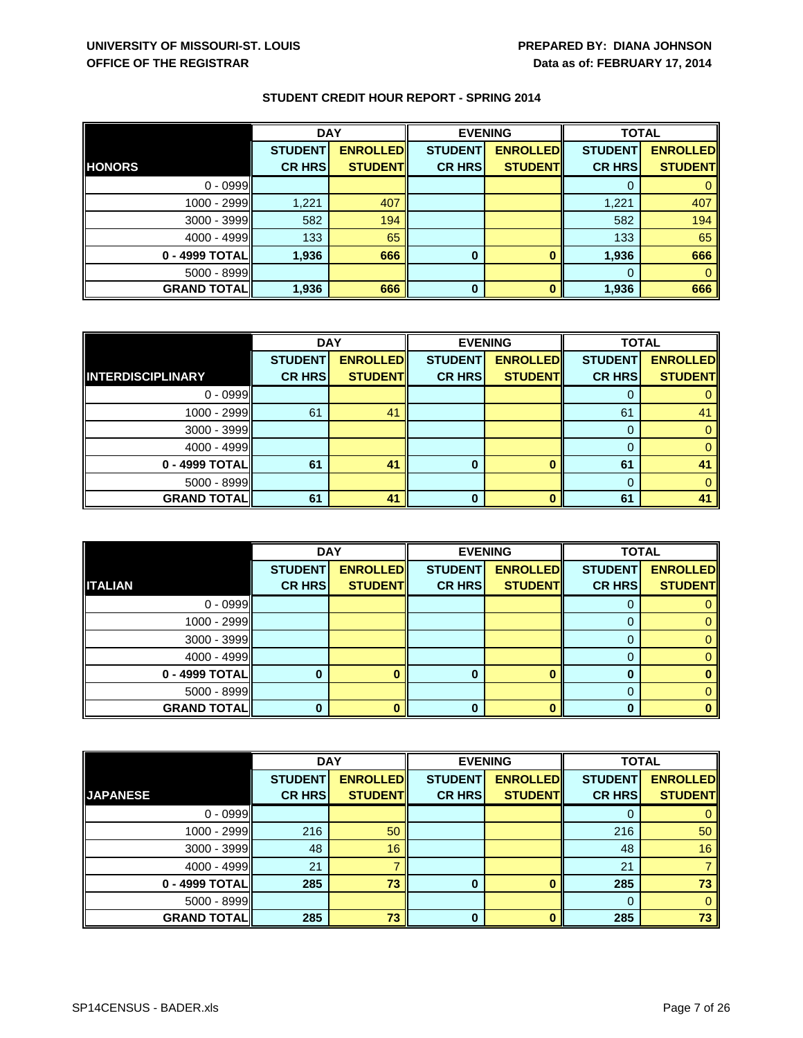|                    | <b>DAY</b>     |                 | <b>EVENING</b> |                 | <b>TOTAL</b>   |                 |
|--------------------|----------------|-----------------|----------------|-----------------|----------------|-----------------|
|                    | <b>STUDENT</b> | <b>ENROLLED</b> | <b>STUDENT</b> | <b>ENROLLED</b> | <b>STUDENT</b> | <b>ENROLLED</b> |
| <b>HONORS</b>      | <b>CR HRS</b>  | <b>STUDENT</b>  | <b>CR HRS</b>  | <b>STUDENT</b>  | <b>CR HRS</b>  | <b>STUDENT</b>  |
| $0 - 0999$         |                |                 |                |                 | 0              |                 |
| 1000 - 2999        | 1,221          | 407             |                |                 | 1,221          | 407             |
| 3000 - 3999        | 582            | 194             |                |                 | 582            | 194             |
| 4000 - 4999        | 133            | 65              |                |                 | 133            | 65              |
| 0 - 4999 TOTAL     | 1,936          | 666             | $\bf{0}$       |                 | 1,936          | 666             |
| 5000 - 8999        |                |                 |                |                 | 0              |                 |
| <b>GRAND TOTAL</b> | 1,936          | 666             | $\bf{0}$       |                 | 1,936          | 666             |

|                          | <b>DAY</b>     |                 | <b>EVENING</b> |                 | <b>TOTAL</b>   |                 |
|--------------------------|----------------|-----------------|----------------|-----------------|----------------|-----------------|
|                          | <b>STUDENT</b> | <b>ENROLLED</b> | <b>STUDENT</b> | <b>ENROLLED</b> | <b>STUDENT</b> | <b>ENROLLED</b> |
| <b>INTERDISCIPLINARY</b> | <b>CR HRS</b>  | <b>STUDENT</b>  | <b>CR HRS</b>  | <b>STUDENT</b>  | <b>CR HRS</b>  | <b>STUDENT</b>  |
| $0 - 0999$               |                |                 |                |                 |                |                 |
| 1000 - 2999              | 61             | 41              |                |                 | 61             | 41              |
| 3000 - 3999              |                |                 |                |                 |                |                 |
| 4000 - 4999              |                |                 |                |                 |                |                 |
| 0 - 4999 TOTAL           | 61             | 41              | 0              |                 | 61             | 41              |
| 5000 - 8999              |                |                 |                |                 |                |                 |
| <b>GRAND TOTAL</b>       | 61             | 41              | 0              |                 | 61             | 41              |

|                    | <b>DAY</b>     |                 | <b>EVENING</b> |                 | <b>TOTAL</b>   |                 |
|--------------------|----------------|-----------------|----------------|-----------------|----------------|-----------------|
|                    | <b>STUDENT</b> | <b>ENROLLED</b> | <b>STUDENT</b> | <b>ENROLLED</b> | <b>STUDENT</b> | <b>ENROLLED</b> |
| <b>ITALIAN</b>     | <b>CR HRS</b>  | <b>STUDENT</b>  | <b>CR HRS</b>  | <b>STUDENT</b>  | <b>CR HRS</b>  | <b>STUDENT</b>  |
| $0 - 0999$         |                |                 |                |                 |                |                 |
| 1000 - 2999        |                |                 |                |                 | $\Omega$       |                 |
| 3000 - 3999        |                |                 |                |                 | 0              |                 |
| $4000 - 4999$      |                |                 |                |                 |                |                 |
| 0 - 4999 TOTAL     |                |                 |                |                 | O              |                 |
| $5000 - 8999$      |                |                 |                |                 | 0              |                 |
| <b>GRAND TOTAL</b> |                |                 |                |                 | ŋ              |                 |

|                    | <b>DAY</b>     |                 |                | <b>EVENING</b>  | <b>TOTAL</b>   |                 |
|--------------------|----------------|-----------------|----------------|-----------------|----------------|-----------------|
|                    | <b>STUDENT</b> | <b>ENROLLED</b> | <b>STUDENT</b> | <b>ENROLLED</b> | <b>STUDENT</b> | <b>ENROLLED</b> |
| <b>JAPANESE</b>    | <b>CR HRS</b>  | <b>STUDENT</b>  | <b>CR HRS</b>  | <b>STUDENT</b>  | <b>CR HRS</b>  | <b>STUDENT</b>  |
| $0 - 0999$         |                |                 |                |                 | O              |                 |
| 1000 - 2999        | 216            | 50              |                |                 | 216            | 50              |
| 3000 - 3999        | 48             | 16              |                |                 | 48             | 16              |
| $4000 - 4999$      | 21             |                 |                |                 | 21             |                 |
| 0 - 4999 TOTAL     | 285            | 73              |                |                 | 285            | 73              |
| 5000 - 8999        |                |                 |                |                 | $\Omega$       |                 |
| <b>GRAND TOTAL</b> | 285            | 73              | 0              |                 | 285            | 73              |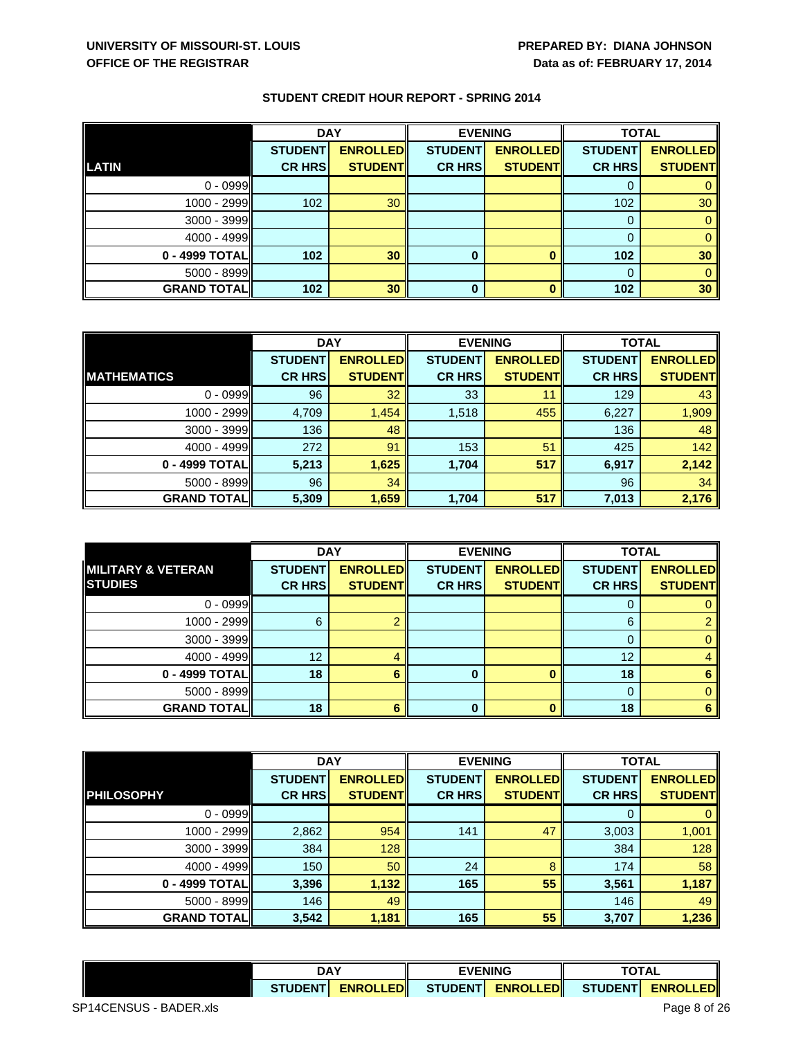|                    | <b>DAY</b>     |                 | <b>EVENING</b> |                 | <b>TOTAL</b>   |                 |
|--------------------|----------------|-----------------|----------------|-----------------|----------------|-----------------|
|                    | <b>STUDENT</b> | <b>ENROLLED</b> | <b>STUDENT</b> | <b>ENROLLED</b> | <b>STUDENT</b> | <b>ENROLLED</b> |
| <b>LATIN</b>       | <b>CR HRS</b>  | <b>STUDENT</b>  | <b>CR HRS</b>  | <b>STUDENT</b>  | <b>CR HRS</b>  | <b>STUDENT</b>  |
| $0 - 0999$         |                |                 |                |                 | 0              |                 |
| 1000 - 2999        | 102            | 30 <sup>°</sup> |                |                 | 102            | 30              |
| 3000 - 3999        |                |                 |                |                 | 0              |                 |
| 4000 - 4999        |                |                 |                |                 | 0              |                 |
| 0 - 4999 TOTAL     | 102            | 30              | 0              |                 | 102            | 30              |
| 5000 - 8999        |                |                 |                |                 | $\Omega$       |                 |
| <b>GRAND TOTAL</b> | 102            | 30              | 0              |                 | 102            | 30              |

|                     | <b>DAY</b>     |                  | <b>EVENING</b> |                 | <b>TOTAL</b>   |                 |
|---------------------|----------------|------------------|----------------|-----------------|----------------|-----------------|
|                     | <b>STUDENT</b> | <b>ENROLLEDI</b> | <b>STUDENT</b> | <b>ENROLLED</b> | <b>STUDENT</b> | <b>ENROLLED</b> |
| <b>IMATHEMATICS</b> | <b>CR HRS</b>  | <b>STUDENT</b>   | <b>CR HRS</b>  | <b>STUDENT</b>  | <b>CR HRS</b>  | <b>STUDENT</b>  |
| $0 - 0999$          | 96             | 32               | 33             | 11              | 129            | 43              |
| 1000 - 2999         | 4,709          | 1,454            | 1,518          | 455             | 6,227          | 1,909           |
| $3000 - 3999$       | 136            | 48               |                |                 | 136            | 48              |
| 4000 - 4999         | 272            | 91               | 153            | 51              | 425            | 142             |
| 0 - 4999 TOTAL      | 5,213          | 1,625            | 1,704          | 517             | 6,917          | 2,142           |
| $5000 - 8999$       | 96             | 34               |                |                 | 96             | 34              |
| <b>GRAND TOTALI</b> | 5,309          | 1,659            | 1,704          | 517             | 7,013          | 2,176           |

|                               | <b>DAY</b>     |                 | <b>EVENING</b> |                 | <b>TOTAL</b>   |                 |
|-------------------------------|----------------|-----------------|----------------|-----------------|----------------|-----------------|
| <b>MILITARY &amp; VETERAN</b> | <b>STUDENT</b> | <b>ENROLLED</b> | <b>STUDENT</b> | <b>ENROLLED</b> | <b>STUDENT</b> | <b>ENROLLED</b> |
| <b>STUDIES</b>                | <b>CR HRS</b>  | <b>STUDENT</b>  | <b>CR HRS</b>  | <b>STUDENT</b>  | <b>CR HRS</b>  | <b>STUDENT</b>  |
| $0 - 0999$                    |                |                 |                |                 |                |                 |
| 1000 - 2999                   | 6              |                 |                |                 | 6              |                 |
| $3000 - 3999$                 |                |                 |                |                 | 0              |                 |
| $4000 - 4999$                 | 12             |                 |                |                 | 12             |                 |
| 0 - 4999 TOTAL                | 18             |                 |                |                 | 18             |                 |
| $5000 - 8999$                 |                |                 |                |                 | 0              |                 |
| <b>GRAND TOTAL</b>            | 18             |                 |                |                 | 18             |                 |

|                    | <b>DAY</b>     |                 | <b>EVENING</b> |                 | <b>TOTAL</b>   |                 |
|--------------------|----------------|-----------------|----------------|-----------------|----------------|-----------------|
|                    | <b>STUDENT</b> | <b>ENROLLED</b> | <b>STUDENT</b> | <b>ENROLLED</b> | <b>STUDENT</b> | <b>ENROLLED</b> |
| <b>PHILOSOPHY</b>  | <b>CR HRS</b>  | <b>STUDENT</b>  | <b>CR HRS</b>  | <b>STUDENT</b>  | <b>CR HRS</b>  | <b>STUDENT</b>  |
| $0 - 0999$         |                |                 |                |                 | O              |                 |
| 1000 - 2999        | 2,862          | 954             | 141            | 47              | 3,003          | 1,001           |
| $3000 - 3999$      | 384            | 128             |                |                 | 384            | 128             |
| $4000 - 4999$      | 150            | 50              | 24             | 8               | 174            | 58              |
| 0 - 4999 TOTAL     | 3,396          | 1,132           | 165            | 55              | 3,561          | 1,187           |
| $5000 - 8999$      | 146            | 49              |                |                 | 146            | 49              |
| <b>GRAND TOTAL</b> | 3,542          | 1,181           | 165            | 55              | 3,707          | 1,236           |

|                 | DA <sup>V</sup>             |                | <b>EVENING</b>              |                    | <b>TATA</b><br>$\overline{\phantom{a}}$<br><u>ы.</u> |  |
|-----------------|-----------------------------|----------------|-----------------------------|--------------------|------------------------------------------------------|--|
| <b>CTUDENT-</b> | <b>TEDI</b><br><b>FNROL</b> | <b>STUDENT</b> | <b>ENROL</b><br><b>IFDL</b> | <b>UDENT</b><br>۹т | $-1$<br><b>FNROL</b>                                 |  |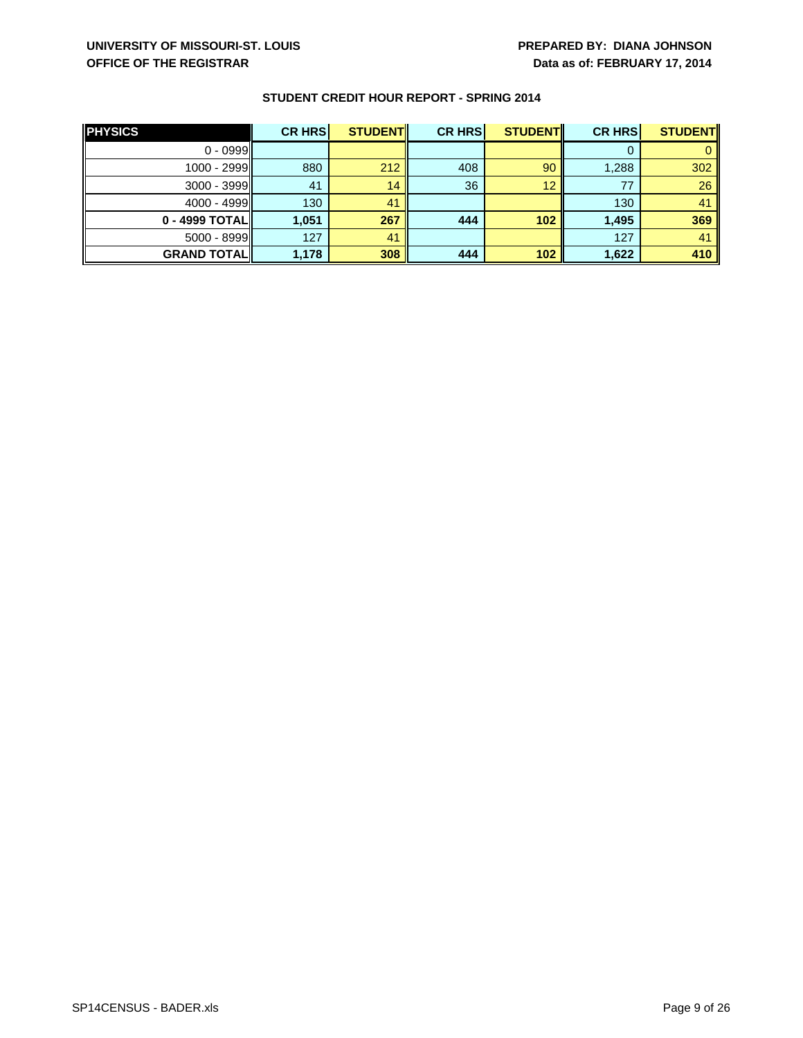| <b>PHYSICS</b>     | <b>CR HRS</b> | <b>STUDENT</b> | <b>CR HRS</b> | <b>STUDENT</b> | <b>CR HRS</b> | <b>STUDENT</b> |
|--------------------|---------------|----------------|---------------|----------------|---------------|----------------|
| $0 - 0999$         |               |                |               |                |               |                |
| $1000 - 2999$      | 880           | 212            | 408           | 90             | 1,288         | 302            |
| $3000 - 3999$      | 41            | 14             | 36            | 12             | 77            | 26             |
| $4000 - 4999$      | 130           | 41             |               |                | 130           | 41             |
| 0 - 4999 TOTAL     | 1,051         | 267            | 444           | 102            | 1,495         | 369            |
| $5000 - 8999$      | 127           | 41             |               |                | 127           | 41             |
| <b>GRAND TOTAL</b> | 1,178         | 308            | 444           | 102            | 1,622         | 410            |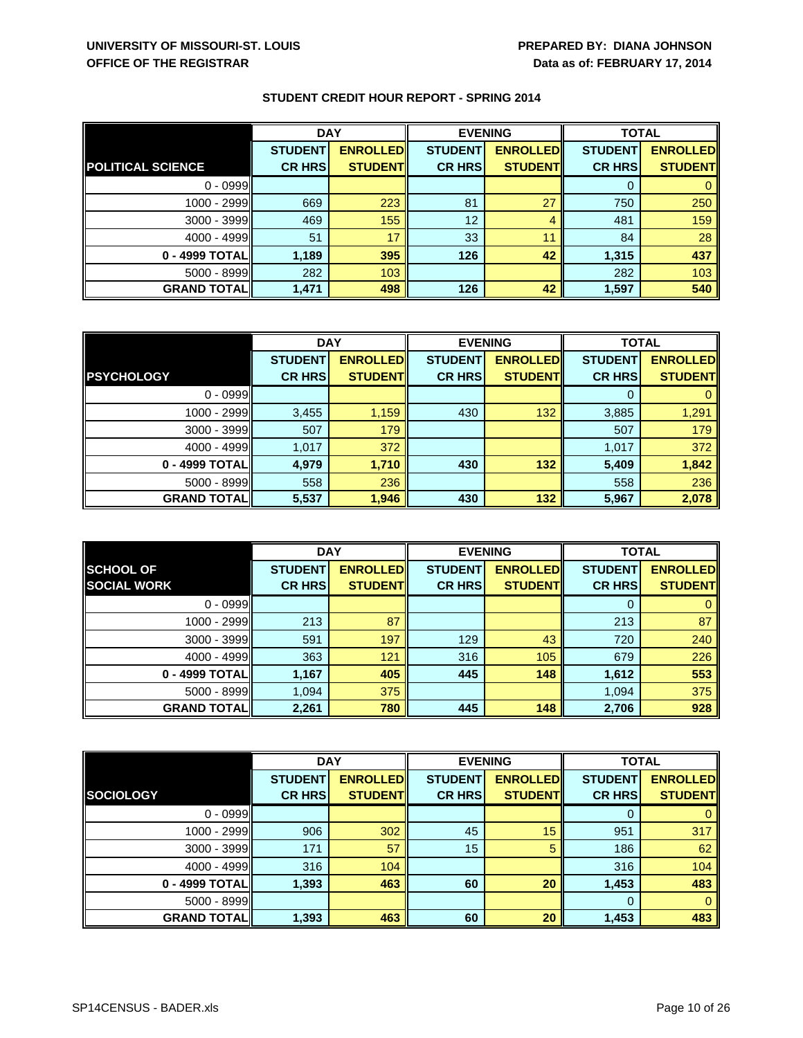|  | <b>STUDENT CREDIT HOUR REPORT - SPRING 2014</b> |  |  |
|--|-------------------------------------------------|--|--|
|--|-------------------------------------------------|--|--|

|                          | <b>DAY</b>     |                 | <b>EVENING</b> |                 | <b>TOTAL</b>   |                 |
|--------------------------|----------------|-----------------|----------------|-----------------|----------------|-----------------|
|                          | <b>STUDENT</b> | <b>ENROLLED</b> | <b>STUDENT</b> | <b>ENROLLED</b> | <b>STUDENT</b> | <b>ENROLLED</b> |
| <b>POLITICAL SCIENCE</b> | <b>CR HRS</b>  | <b>STUDENT</b>  | <b>CR HRS</b>  | <b>STUDENT</b>  | <b>CR HRS</b>  | <b>STUDENT</b>  |
| $0 - 0999$               |                |                 |                |                 | U              |                 |
| 1000 - 2999              | 669            | 223             | 81             | 27              | 750            | 250             |
| $3000 - 3999$            | 469            | 155             | 12             | 4               | 481            | 159             |
| $4000 - 4999$            | 51             | 17              | 33             | 11              | 84             | 28              |
| 0 - 4999 TOTAL           | 1,189          | 395             | 126            | 42              | 1,315          | 437             |
| 5000 - 8999              | 282            | 103             |                |                 | 282            | 103             |
| <b>GRAND TOTAL</b>       | 1,471          | 498             | 126            | 42              | 1,597          | 540             |

|                     | <b>DAY</b>     |                 | <b>EVENING</b> |                 | <b>TOTAL</b>   |                 |
|---------------------|----------------|-----------------|----------------|-----------------|----------------|-----------------|
|                     | <b>STUDENT</b> | <b>ENROLLED</b> | <b>STUDENT</b> | <b>ENROLLED</b> | <b>STUDENT</b> | <b>ENROLLED</b> |
| <b>PSYCHOLOGY</b>   | <b>CR HRS</b>  | <b>STUDENT</b>  | <b>CR HRS</b>  | <b>STUDENT</b>  | <b>CR HRS</b>  | <b>STUDENT</b>  |
| $0 - 0999$          |                |                 |                |                 |                |                 |
| 1000 - 2999         | 3,455          | 1,159           | 430            | 132             | 3,885          | 1,291           |
| $3000 - 3999$       | 507            | 179             |                |                 | 507            | 179             |
| 4000 - 4999         | 1,017          | 372             |                |                 | 1,017          | 372             |
| 0 - 4999 TOTAL      | 4,979          | 1,710           | 430            | 132             | 5,409          | 1,842           |
| 5000 - 8999         | 558            | 236             |                |                 | 558            | 236             |
| <b>GRAND TOTALI</b> | 5,537          | 1,946           | 430            | 132             | 5,967          | 2,078           |

|                    | <b>DAY</b>     |                 | <b>EVENING</b> |                 | <b>TOTAL</b>   |                 |
|--------------------|----------------|-----------------|----------------|-----------------|----------------|-----------------|
| <b>SCHOOL OF</b>   | <b>STUDENT</b> | <b>ENROLLED</b> | <b>STUDENT</b> | <b>ENROLLED</b> | <b>STUDENT</b> | <b>ENROLLED</b> |
| <b>SOCIAL WORK</b> | <b>CR HRS</b>  | <b>STUDENT</b>  | <b>CR HRS</b>  | <b>STUDENT</b>  | <b>CR HRS</b>  | <b>STUDENT</b>  |
| $0 - 0999$         |                |                 |                |                 | 0              |                 |
| 1000 - 2999        | 213            | 87              |                |                 | 213            | 87              |
| $3000 - 3999$      | 591            | 197             | 129            | 43              | 720            | 240             |
| $4000 - 4999$      | 363            | 121             | 316            | 105             | 679            | 226             |
| 0 - 4999 TOTAL     | 1,167          | 405             | 445            | 148             | 1,612          | 553             |
| $5000 - 8999$      | 1,094          | 375             |                |                 | 1,094          | 375             |
| <b>GRAND TOTAL</b> | 2,261          | 780             | 445            | 148             | 2,706          | 928             |

|                    | <b>DAY</b>     |                 | <b>EVENING</b> |                 | <b>TOTAL</b>   |                 |
|--------------------|----------------|-----------------|----------------|-----------------|----------------|-----------------|
|                    | <b>STUDENT</b> | <b>ENROLLED</b> | <b>STUDENT</b> | <b>ENROLLED</b> | <b>STUDENT</b> | <b>ENROLLED</b> |
| <b>SOCIOLOGY</b>   | <b>CR HRS</b>  | <b>STUDENT</b>  | <b>CR HRS</b>  | <b>STUDENT</b>  | <b>CR HRS</b>  | <b>STUDENT</b>  |
| $0 - 0999$         |                |                 |                |                 | 0              |                 |
| 1000 - 2999        | 906            | 302             | 45             | 15              | 951            | 317             |
| 3000 - 3999        | 171            | 57              | 15             | 5               | 186            | 62              |
| $4000 - 4999$      | 316            | 104             |                |                 | 316            | 104             |
| 0 - 4999 TOTAL     | 1,393          | 463             | 60             | 20              | 1,453          | 483             |
| 5000 - 8999        |                |                 |                |                 | $\Omega$       |                 |
| <b>GRAND TOTAL</b> | 1,393          | 463             | 60             | 20              | 1,453          | 483             |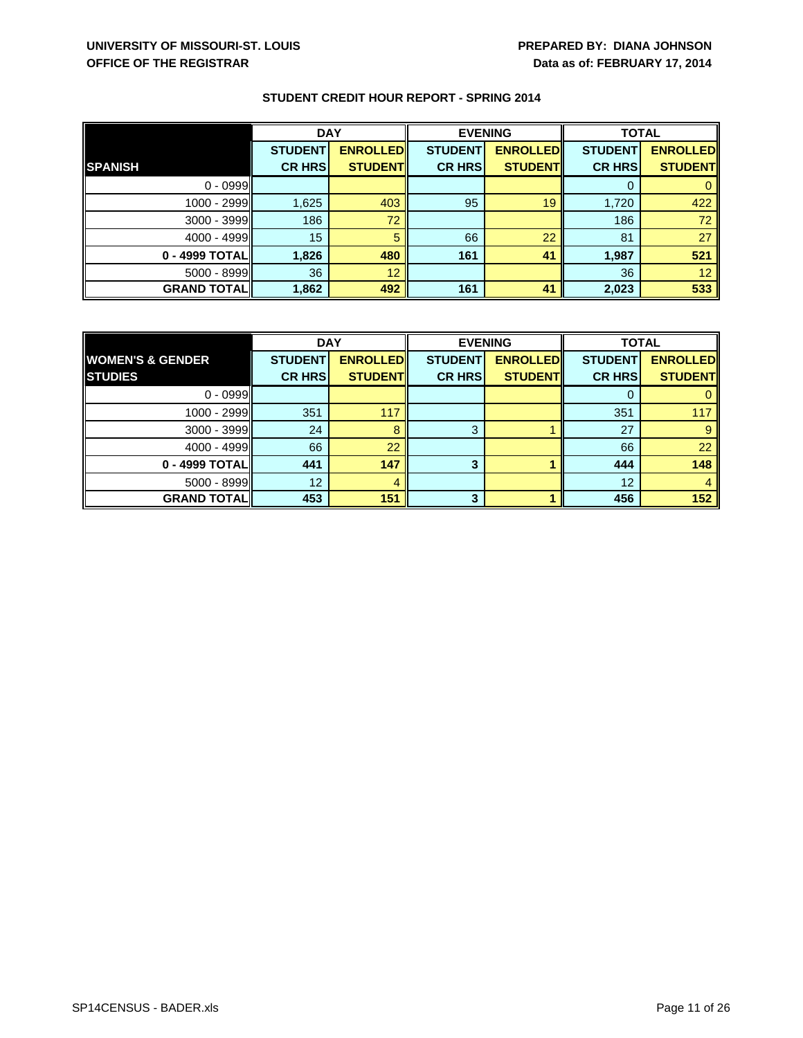|                    | <b>DAY</b>     |                 | <b>EVENING</b> |                 | <b>TOTAL</b>   |                 |
|--------------------|----------------|-----------------|----------------|-----------------|----------------|-----------------|
|                    | <b>STUDENT</b> | <b>ENROLLED</b> | <b>STUDENT</b> | <b>ENROLLED</b> | <b>STUDENT</b> | <b>ENROLLED</b> |
| <b>SPANISH</b>     | <b>CR HRS</b>  | <b>STUDENT</b>  | <b>CR HRS</b>  | <b>STUDENT</b>  | <b>CR HRS</b>  | <b>STUDENT</b>  |
| $0 - 0999$         |                |                 |                |                 | 0              |                 |
| 1000 - 2999        | 1,625          | 403             | 95             | 19              | 1,720          | 422             |
| 3000 - 3999        | 186            | 72              |                |                 | 186            | 72              |
| $4000 - 4999$      | 15             | 5               | 66             | 22              | 81             | 27              |
| 0 - 4999 TOTAL     | 1,826          | 480             | 161            | 41              | 1,987          | 521             |
| 5000 - 8999        | 36             | 12              |                |                 | 36             | 12              |
| <b>GRAND TOTAL</b> | 1,862          | 492             | 161            | 41              | 2,023          | 533             |

|                             | <b>DAY</b>     |                 | <b>EVENING</b> |                 | <b>TOTAL</b>   |                 |
|-----------------------------|----------------|-----------------|----------------|-----------------|----------------|-----------------|
| <b>WOMEN'S &amp; GENDER</b> | <b>STUDENT</b> | <b>ENROLLED</b> | <b>STUDENT</b> | <b>ENROLLED</b> | <b>STUDENT</b> | <b>ENROLLED</b> |
| <b>STUDIES</b>              | <b>CR HRS</b>  | <b>STUDENT</b>  | <b>CR HRS</b>  | <b>STUDENT</b>  | <b>CR HRS</b>  | <b>STUDENT</b>  |
| $0 - 0999$                  |                |                 |                |                 |                |                 |
| 1000 - 2999                 | 351            | 117             |                |                 | 351            | 117             |
| $3000 - 3999$               | 24             |                 | 3              |                 | 27             |                 |
| $4000 - 4999$               | 66             | 22              |                |                 | 66             | 22              |
| 0 - 4999 TOTAL              | 441            | 147             |                |                 | 444            | 148             |
| $5000 - 8999$               | 12             |                 |                |                 | 12             |                 |
| <b>GRAND TOTAL</b>          | 453            | 151             | 3              |                 | 456            | 152             |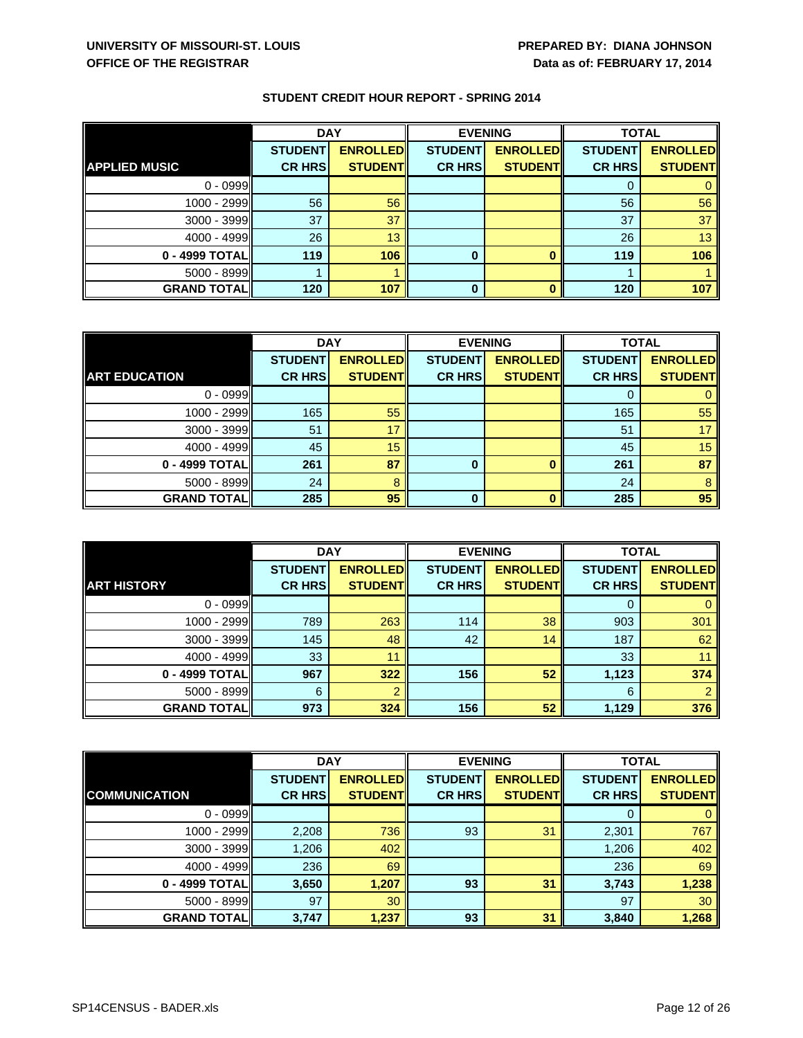|                      | <b>DAY</b>     |                 | <b>EVENING</b> |                 | <b>TOTAL</b>   |                 |
|----------------------|----------------|-----------------|----------------|-----------------|----------------|-----------------|
|                      | <b>STUDENT</b> | <b>ENROLLED</b> | <b>STUDENT</b> | <b>ENROLLED</b> | <b>STUDENT</b> | <b>ENROLLED</b> |
| <b>APPLIED MUSIC</b> | <b>CR HRS</b>  | <b>STUDENT</b>  | <b>CR HRS</b>  | <b>STUDENT</b>  | <b>CR HRS</b>  | <b>STUDENT</b>  |
| $0 - 0999$           |                |                 |                |                 | O              |                 |
| 1000 - 2999          | 56             | 56              |                |                 | 56             | 56              |
| 3000 - 3999          | 37             | 37              |                |                 | 37             | 37              |
| $4000 - 4999$        | 26             | 13              |                |                 | 26             | 13              |
| 0 - 4999 TOTAL       | 119            | 106             | $\bf{0}$       |                 | 119            | 106             |
| 5000 - 8999          |                |                 |                |                 |                |                 |
| <b>GRAND TOTAL</b>   | 120            | 107             | 0              |                 | 120            | 107             |

|                      | <b>DAY</b>     |                 | <b>EVENING</b> |                 | <b>TOTAL</b>   |                 |
|----------------------|----------------|-----------------|----------------|-----------------|----------------|-----------------|
|                      | <b>STUDENT</b> | <b>ENROLLED</b> | <b>STUDENT</b> | <b>ENROLLED</b> | <b>STUDENT</b> | <b>ENROLLED</b> |
| <b>ART EDUCATION</b> | <b>CR HRS</b>  | <b>STUDENT</b>  | <b>CR HRS</b>  | <b>STUDENT</b>  | <b>CR HRS</b>  | <b>STUDENT</b>  |
| $0 - 0999$           |                |                 |                |                 |                |                 |
| 1000 - 2999          | 165            | 55              |                |                 | 165            | 55              |
| $3000 - 3999$        | 51             | 17              |                |                 | 51             |                 |
| 4000 - 4999          | 45             | 15              |                |                 | 45             | 15              |
| 0 - 4999 TOTAL       | 261            | 87              |                |                 | 261            | 87              |
| $5000 - 8999$        | 24             |                 |                |                 | 24             |                 |
| <b>GRAND TOTAL</b>   | 285            | 95              | 0              |                 | 285            | 95              |

|                    | <b>DAY</b>     |                 | <b>EVENING</b> |                 | <b>TOTAL</b>   |                 |
|--------------------|----------------|-----------------|----------------|-----------------|----------------|-----------------|
|                    | <b>STUDENT</b> | <b>ENROLLED</b> | <b>STUDENT</b> | <b>ENROLLED</b> | <b>STUDENT</b> | <b>ENROLLED</b> |
| <b>ART HISTORY</b> | <b>CR HRS</b>  | <b>STUDENT</b>  | <b>CR HRS</b>  | <b>STUDENT</b>  | <b>CR HRS</b>  | <b>STUDENT</b>  |
| $0 - 0999$         |                |                 |                |                 |                |                 |
| 1000 - 2999        | 789            | 263             | 114            | 38              | 903            | 301             |
| 3000 - 3999        | 145            | 48              | 42             | 14              | 187            | 62              |
| 4000 - 4999        | 33             | 11              |                |                 | 33             |                 |
| 0 - 4999 TOTAL     | 967            | 322             | 156            | 52              | 1,123          | 374             |
| 5000 - 8999        | 6              |                 |                |                 | 6              |                 |
| <b>GRAND TOTAL</b> | 973            | 324             | 156            | 52              | 1,129          | 376             |

|                      | <b>DAY</b>     |                 | <b>EVENING</b> |                 | <b>TOTAL</b>   |                 |
|----------------------|----------------|-----------------|----------------|-----------------|----------------|-----------------|
|                      | <b>STUDENT</b> | <b>ENROLLED</b> | <b>STUDENT</b> | <b>ENROLLED</b> | <b>STUDENT</b> | <b>ENROLLED</b> |
| <b>COMMUNICATION</b> | <b>CR HRS</b>  | <b>STUDENT</b>  | <b>CR HRS</b>  | <b>STUDENT</b>  | <b>CR HRS</b>  | <b>STUDENT</b>  |
| $0 - 0999$           |                |                 |                |                 | 0              |                 |
| 1000 - 2999          | 2,208          | 736             | 93             | 31              | 2,301          | 767             |
| $3000 - 3999$        | 1,206          | 402             |                |                 | 1,206          | 402             |
| $4000 - 4999$        | 236            | 69              |                |                 | 236            | 69              |
| 0 - 4999 TOTAL       | 3,650          | 1,207           | 93             | 31              | 3,743          | 1,238           |
| 5000 - 8999          | 97             | 30              |                |                 | 97             | 30              |
| <b>GRAND TOTAL</b>   | 3,747          | 1,237           | 93             | 31              | 3,840          | 1,268           |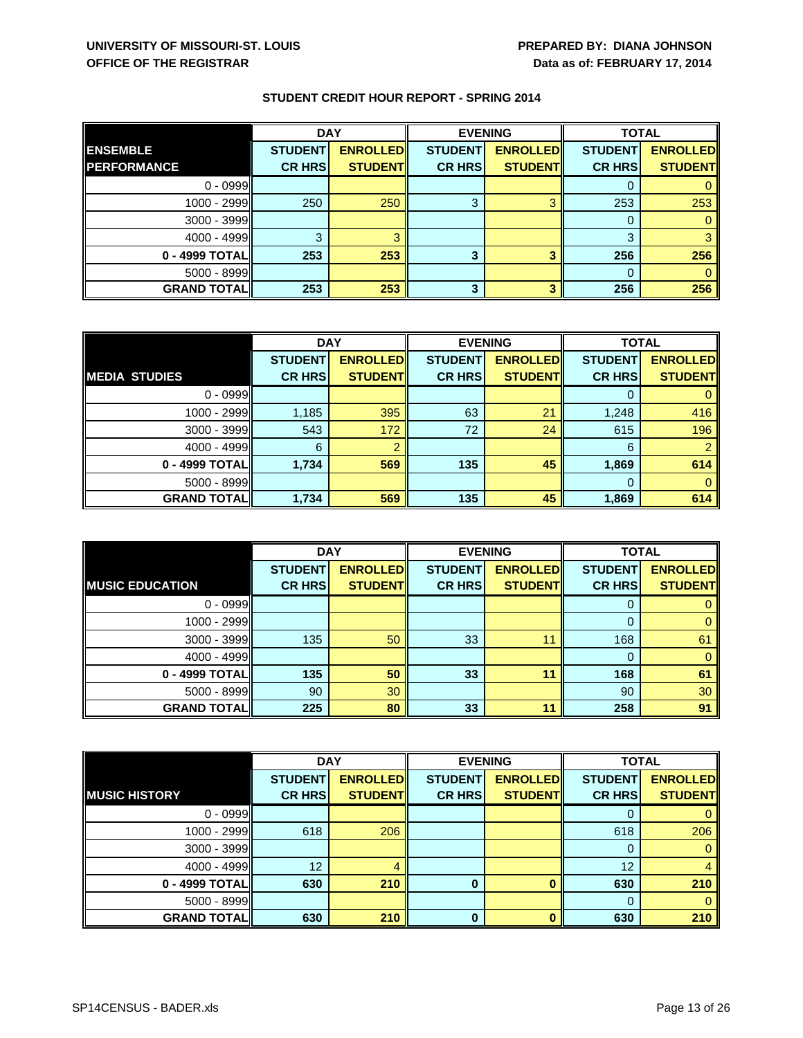|                    | <b>DAY</b>     |                 | <b>EVENING</b> |                 | <b>TOTAL</b>   |                 |
|--------------------|----------------|-----------------|----------------|-----------------|----------------|-----------------|
| <b>ENSEMBLE</b>    | <b>STUDENT</b> | <b>ENROLLED</b> | <b>STUDENT</b> | <b>ENROLLED</b> | <b>STUDENT</b> | <b>ENROLLED</b> |
| <b>PERFORMANCE</b> | <b>CR HRS</b>  | <b>STUDENT</b>  | <b>CR HRS</b>  | <b>STUDENT</b>  | <b>CR HRS</b>  | <b>STUDENT</b>  |
| $0 - 0999$         |                |                 |                |                 |                |                 |
| 1000 - 2999        | 250            | 250             | 3              | R               | 253            | 253             |
| 3000 - 3999        |                |                 |                |                 | 0              |                 |
| $4000 - 4999$      | ົ              |                 |                |                 | 3              |                 |
| 0 - 4999 TOTAL     | 253            | 253             | 3              | 2               | 256            | 256             |
| 5000 - 8999        |                |                 |                |                 | 0              |                 |
| <b>GRAND TOTAL</b> | 253            | 253             | 3              | З               | 256            | 256             |

|                      | <b>DAY</b>     |                 | <b>EVENING</b> |                 | <b>TOTAL</b>   |                 |
|----------------------|----------------|-----------------|----------------|-----------------|----------------|-----------------|
|                      | <b>STUDENT</b> | <b>ENROLLED</b> | <b>STUDENT</b> | <b>ENROLLED</b> | <b>STUDENT</b> | <b>ENROLLED</b> |
| <b>MEDIA STUDIES</b> | <b>CR HRS</b>  | <b>STUDENT</b>  | <b>CR HRS</b>  | <b>STUDENT</b>  | <b>CR HRS</b>  | <b>STUDENT</b>  |
| $0 - 0999$           |                |                 |                |                 |                |                 |
| 1000 - 2999          | 1,185          | 395             | 63             | 21              | 1,248          | 416             |
| $3000 - 3999$        | 543            | 172             | 72             | 24              | 615            | 196             |
| $4000 - 4999$        | 6              |                 |                |                 | 6              |                 |
| 0 - 4999 TOTAL       | 1,734          | 569             | 135            | 45              | 1,869          | 614             |
| $5000 - 8999$        |                |                 |                |                 |                |                 |
| <b>GRAND TOTALI</b>  | 1,734          | 569             | 135            | 45              | 1,869          | 614             |

|                        | <b>DAY</b>     |                 | <b>EVENING</b> |                 | <b>TOTAL</b>   |                 |
|------------------------|----------------|-----------------|----------------|-----------------|----------------|-----------------|
|                        | <b>STUDENT</b> | <b>ENROLLED</b> | <b>STUDENT</b> | <b>ENROLLED</b> | <b>STUDENT</b> | <b>ENROLLED</b> |
| <b>MUSIC EDUCATION</b> | <b>CR HRS</b>  | <b>STUDENT</b>  | <b>CR HRS</b>  | <b>STUDENT</b>  | <b>CR HRS</b>  | <b>STUDENT</b>  |
| $0 - 0999$             |                |                 |                |                 | 0              |                 |
| 1000 - 2999            |                |                 |                |                 | $\Omega$       |                 |
| 3000 - 3999            | 135            | 50              | 33             |                 | 168            | 61              |
| 4000 - 4999            |                |                 |                |                 | 0              |                 |
| 0 - 4999 TOTAL         | 135            | 50              | 33             | 11              | 168            | 61              |
| 5000 - 8999            | 90             | 30              |                |                 | 90             | 30              |
| <b>GRAND TOTAL</b>     | 225            | 80              | 33             | 11              | 258            | 91              |

|                      | <b>DAY</b>     |                 | <b>EVENING</b> |                 | <b>TOTAL</b>   |                 |
|----------------------|----------------|-----------------|----------------|-----------------|----------------|-----------------|
|                      | <b>STUDENT</b> | <b>ENROLLED</b> | <b>STUDENT</b> | <b>ENROLLED</b> | <b>STUDENT</b> | <b>ENROLLED</b> |
| <b>MUSIC HISTORY</b> | <b>CR HRS</b>  | <b>STUDENT</b>  | <b>CR HRS</b>  | <b>STUDENT</b>  | <b>CR HRS</b>  | <b>STUDENT</b>  |
| $0 - 0999$           |                |                 |                |                 | 0              |                 |
| $1000 - 2999$        | 618            | 206             |                |                 | 618            | 206             |
| $3000 - 3999$        |                |                 |                |                 | $\Omega$       |                 |
| $4000 - 4999$        | 12             |                 |                |                 | 12             |                 |
| 0 - 4999 TOTAL       | 630            | 210             | 0              |                 | 630            | 210             |
| 5000 - 8999          |                |                 |                |                 | $\Omega$       |                 |
| <b>GRAND TOTAL</b>   | 630            | 210             | $\bf{0}$       |                 | 630            | 210             |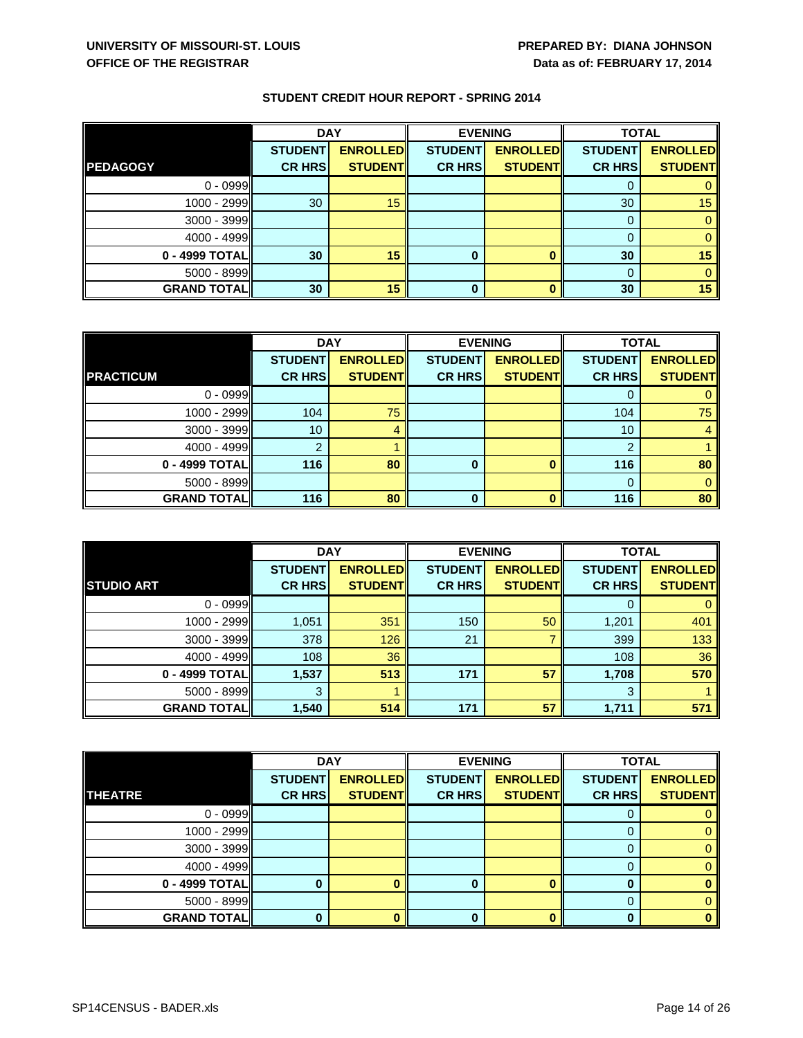|                    | <b>DAY</b>     |                 | <b>EVENING</b> |                 |                | <b>TOTAL</b>    |  |
|--------------------|----------------|-----------------|----------------|-----------------|----------------|-----------------|--|
|                    | <b>STUDENT</b> | <b>ENROLLED</b> | <b>STUDENT</b> | <b>ENROLLED</b> | <b>STUDENT</b> | <b>ENROLLED</b> |  |
| <b>PEDAGOGY</b>    | <b>CR HRS</b>  | <b>STUDENT</b>  | <b>CR HRS</b>  | <b>STUDENT</b>  | <b>CR HRS</b>  | <b>STUDENT</b>  |  |
| $0 - 0999$         |                |                 |                |                 | O              |                 |  |
| 1000 - 2999        | 30             | 15              |                |                 | 30             | 15              |  |
| 3000 - 3999        |                |                 |                |                 | $\Omega$       |                 |  |
| 4000 - 4999        |                |                 |                |                 | $\Omega$       |                 |  |
| 0 - 4999 TOTAL     | 30             | 15              | 0              |                 | 30             | 15              |  |
| 5000 - 8999        |                |                 |                |                 | $\Omega$       |                 |  |
| <b>GRAND TOTAL</b> | 30             | 15              | 0              |                 | 30             | 15              |  |

|                    | <b>DAY</b>     |                 | <b>EVENING</b> |                 | <b>TOTAL</b>   |                 |
|--------------------|----------------|-----------------|----------------|-----------------|----------------|-----------------|
|                    | <b>STUDENT</b> | <b>ENROLLED</b> | <b>STUDENT</b> | <b>ENROLLED</b> | <b>STUDENT</b> | <b>ENROLLED</b> |
| <b>PRACTICUM</b>   | <b>CR HRS</b>  | <b>STUDENT</b>  | <b>CR HRS</b>  | <b>STUDENT</b>  | <b>CR HRS</b>  | <b>STUDENT</b>  |
| $0 - 0999$         |                |                 |                |                 |                |                 |
| 1000 - 2999        | 104            | 75              |                |                 | 104            | 75              |
| 3000 - 3999        | 10             |                 |                |                 | 10             |                 |
| 4000 - 4999        | ົ              |                 |                |                 | ົ              |                 |
| 0 - 4999 TOTAL     | 116            | 80              | 0              |                 | 116            | 80              |
| $5000 - 8999$      |                |                 |                |                 |                |                 |
| <b>GRAND TOTAL</b> | 116            | 80              | 0              |                 | 116            | 80              |

|                    |                | <b>DAY</b>      |                | <b>EVENING</b>  |                | <b>TOTAL</b>    |  |
|--------------------|----------------|-----------------|----------------|-----------------|----------------|-----------------|--|
|                    | <b>STUDENT</b> | <b>ENROLLED</b> | <b>STUDENT</b> | <b>ENROLLED</b> | <b>STUDENT</b> | <b>ENROLLED</b> |  |
| <b>STUDIO ART</b>  | <b>CR HRS</b>  | <b>STUDENT</b>  | <b>CR HRS</b>  | <b>STUDENT</b>  | <b>CR HRS</b>  | <b>STUDENT</b>  |  |
| $0 - 0999$         |                |                 |                |                 | U              |                 |  |
| 1000 - 2999        | 1,051          | 351             | 150            | 50              | 1,201          | 401             |  |
| 3000 - 3999        | 378            | 126             | 21             |                 | 399            | 133             |  |
| 4000 - 4999        | 108            | 36              |                |                 | 108            | 36              |  |
| 0 - 4999 TOTAL     | 1,537          | 513             | 171            | 57              | 1,708          | 570             |  |
| 5000 - 8999        | 3              |                 |                |                 | 3              |                 |  |
| <b>GRAND TOTAL</b> | 1,540          | 514             | 171            | 57              | 1,711          | 571             |  |

|                    | <b>DAY</b>     |                 | <b>EVENING</b> |                 | <b>TOTAL</b>   |                 |
|--------------------|----------------|-----------------|----------------|-----------------|----------------|-----------------|
|                    | <b>STUDENT</b> | <b>ENROLLED</b> | <b>STUDENT</b> | <b>ENROLLED</b> | <b>STUDENT</b> | <b>ENROLLED</b> |
| <b>THEATRE</b>     | <b>CR HRS</b>  | <b>STUDENT</b>  | <b>CR HRS</b>  | <b>STUDENT</b>  | <b>CR HRS</b>  | <b>STUDENT</b>  |
| $0 - 0999$         |                |                 |                |                 | O              |                 |
| $1000 - 2999$      |                |                 |                |                 |                |                 |
| $3000 - 3999$      |                |                 |                |                 | 0              |                 |
| 4000 - 4999        |                |                 |                |                 | 0              |                 |
| 0 - 4999 TOTAL     |                |                 |                |                 | 0              |                 |
| $5000 - 8999$      |                |                 |                |                 | 0              |                 |
| <b>GRAND TOTAL</b> |                |                 | 0              |                 | 0              |                 |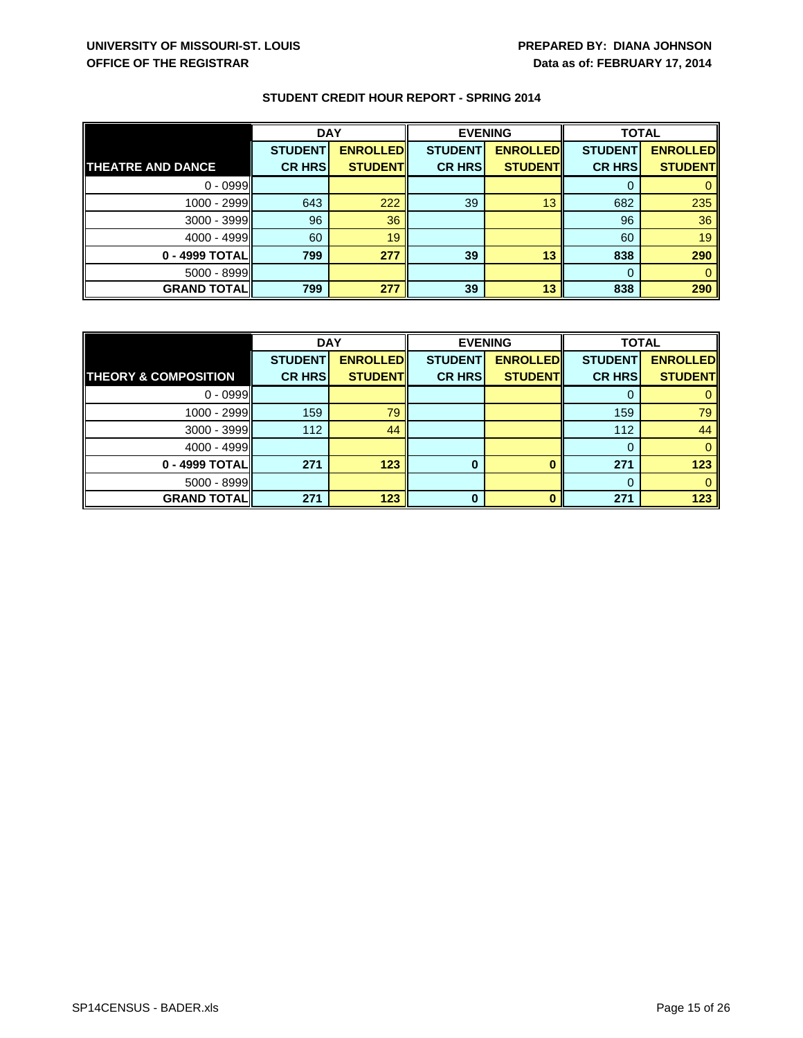|                          | <b>DAY</b>     |                 | <b>EVENING</b> |                 | <b>TOTAL</b>   |                 |
|--------------------------|----------------|-----------------|----------------|-----------------|----------------|-----------------|
|                          | <b>STUDENT</b> | <b>ENROLLED</b> | <b>STUDENT</b> | <b>ENROLLED</b> | <b>STUDENT</b> | <b>ENROLLED</b> |
| <b>THEATRE AND DANCE</b> | <b>CR HRS</b>  | <b>STUDENT</b>  | <b>CR HRS</b>  | <b>STUDENT</b>  | <b>CR HRS</b>  | <b>STUDENT</b>  |
| $0 - 0999$               |                |                 |                |                 | O              |                 |
| 1000 - 2999              | 643            | 222             | 39             | 13              | 682            | 235             |
| 3000 - 3999              | 96             | 36              |                |                 | 96             | 36              |
| $4000 - 4999$            | 60             | 19              |                |                 | 60             | 19              |
| 0 - 4999 TOTAL           | 799            | 277             | 39             | 13              | 838            | 290             |
| 5000 - 8999              |                |                 |                |                 | 0              |                 |
| <b>GRAND TOTAL</b>       | 799            | 277             | 39             | 13              | 838            | 290             |

|                                 | <b>DAY</b>     |                 | <b>EVENING</b> |                 | <b>TOTAL</b>   |                 |
|---------------------------------|----------------|-----------------|----------------|-----------------|----------------|-----------------|
|                                 | <b>STUDENT</b> | <b>ENROLLED</b> | <b>STUDENT</b> | <b>ENROLLED</b> | <b>STUDENT</b> | <b>ENROLLED</b> |
| <b>THEORY &amp; COMPOSITION</b> | <b>CR HRS</b>  | <b>STUDENT</b>  | <b>CR HRS</b>  | <b>STUDENT</b>  | <b>CR HRS</b>  | <b>STUDENT</b>  |
| $0 - 0999$                      |                |                 |                |                 |                |                 |
| 1000 - 2999                     | 159            | 79              |                |                 | 159            | 79              |
| $3000 - 3999$                   | 112            | 44              |                |                 | 112            | 44              |
| $4000 - 4999$                   |                |                 |                |                 |                |                 |
| 0 - 4999 TOTAL                  | 271            | 123             |                |                 | 271            | 123             |
| $5000 - 8999$                   |                |                 |                |                 |                |                 |
| <b>GRAND TOTALI</b>             | 271            | 123             | 0              |                 | 271            | 123             |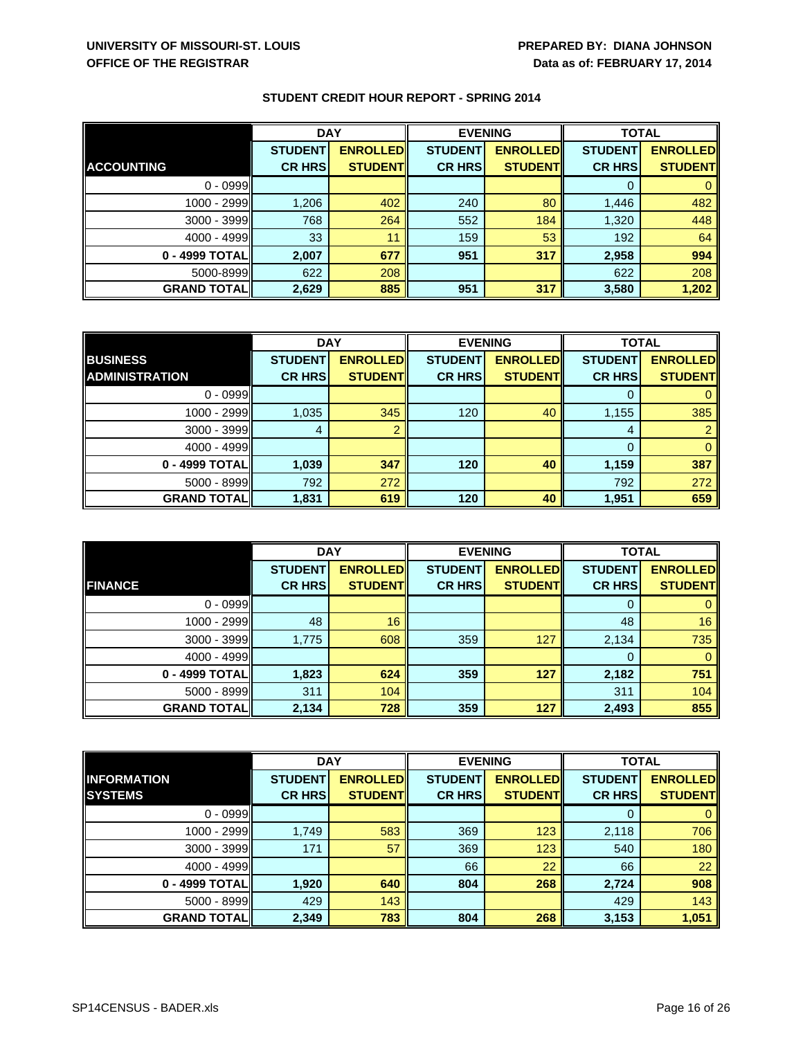|                    | <b>DAY</b>     |                 | <b>EVENING</b> |                 | <b>TOTAL</b>   |                 |
|--------------------|----------------|-----------------|----------------|-----------------|----------------|-----------------|
|                    | <b>STUDENT</b> | <b>ENROLLED</b> | <b>STUDENT</b> | <b>ENROLLED</b> | <b>STUDENT</b> | <b>ENROLLED</b> |
| <b>ACCOUNTING</b>  | <b>CR HRS</b>  | <b>STUDENT</b>  | <b>CR HRS</b>  | <b>STUDENT</b>  | <b>CR HRS</b>  | <b>STUDENT</b>  |
| $0 - 0999$         |                |                 |                |                 | 0              |                 |
| 1000 - 2999        | 1,206          | 402             | 240            | 80              | 1,446          | 482             |
| $3000 - 3999$      | 768            | 264             | 552            | 184             | 1,320          | 448             |
| 4000 - 4999        | 33             | 11              | 159            | 53              | 192            | 64              |
| 0 - 4999 TOTALII   | 2,007          | 677             | 951            | 317             | 2,958          | 994             |
| 5000-8999          | 622            | 208             |                |                 | 622            | 208             |
| <b>GRAND TOTAL</b> | 2,629          | 885             | 951            | 317             | 3,580          | 1,202           |

|                       | <b>DAY</b>     |                 | <b>EVENING</b> |                 | <b>TOTAL</b>   |                 |
|-----------------------|----------------|-----------------|----------------|-----------------|----------------|-----------------|
| <b>BUSINESS</b>       | <b>STUDENT</b> | <b>ENROLLED</b> | <b>STUDENT</b> | <b>ENROLLED</b> | <b>STUDENT</b> | <b>ENROLLED</b> |
| <b>ADMINISTRATION</b> | <b>CR HRS</b>  | <b>STUDENT</b>  | <b>CR HRS</b>  | <b>STUDENT</b>  | <b>CR HRS</b>  | <b>STUDENT</b>  |
| $0 - 0999$            |                |                 |                |                 |                |                 |
| 1000 - 2999           | 1,035          | 345             | 120            | 40              | 1,155          | 385             |
| $3000 - 3999$         |                |                 |                |                 | 4              |                 |
| $4000 - 4999$         |                |                 |                |                 | $\Omega$       |                 |
| 0 - 4999 TOTAL        | 1,039          | 347             | 120            | 40              | 1,159          | 387             |
| 5000 - 8999           | 792            | 272             |                |                 | 792            | 272             |
| <b>GRAND TOTAL</b>    | 1,831          | 619             | 120            | 40              | 1,951          | 659             |

|                    | <b>DAY</b>     |                 | <b>EVENING</b> |                 | <b>TOTAL</b>   |                 |
|--------------------|----------------|-----------------|----------------|-----------------|----------------|-----------------|
|                    | <b>STUDENT</b> | <b>ENROLLED</b> | <b>STUDENT</b> | <b>ENROLLED</b> | <b>STUDENT</b> | <b>ENROLLED</b> |
| <b>FINANCE</b>     | <b>CR HRS</b>  | <b>STUDENT</b>  | <b>CR HRS</b>  | <b>STUDENT</b>  | <b>CR HRS</b>  | <b>STUDENT</b>  |
| $0 - 0999$         |                |                 |                |                 | 0              |                 |
| 1000 - 2999        | 48             | 16              |                |                 | 48             | 16              |
| 3000 - 3999        | 1,775          | 608             | 359            | 127             | 2,134          | 735             |
| 4000 - 4999        |                |                 |                |                 | 0              |                 |
| 0 - 4999 TOTAL     | 1,823          | 624             | 359            | 127             | 2,182          | 751             |
| $5000 - 8999$      | 311            | 104             |                |                 | 311            | 104             |
| <b>GRAND TOTAL</b> | 2,134          | 728             | 359            | 127             | 2,493          | 855             |

|                    | <b>DAY</b>     |                 | <b>EVENING</b> |                 |                | <b>TOTAL</b>    |  |
|--------------------|----------------|-----------------|----------------|-----------------|----------------|-----------------|--|
| <b>INFORMATION</b> | <b>STUDENT</b> | <b>ENROLLED</b> | <b>STUDENT</b> | <b>ENROLLED</b> | <b>STUDENT</b> | <b>ENROLLED</b> |  |
| <b>SYSTEMS</b>     | <b>CR HRS</b>  | <b>STUDENTI</b> | <b>CR HRS</b>  | <b>STUDENT</b>  | <b>CR HRS</b>  | <b>STUDENT</b>  |  |
| $0 - 0999$         |                |                 |                |                 | 0              |                 |  |
| 1000 - 2999        | 1,749          | 583             | 369            | 123             | 2,118          | 706             |  |
| $3000 - 3999$      | 171            | 57              | 369            | 123             | 540            | 180             |  |
| $4000 - 4999$      |                |                 | 66             | $22^{\circ}$    | 66             | 22              |  |
| 0 - 4999 TOTAL     | 1,920          | 640             | 804            | 268             | 2,724          | 908             |  |
| 5000 - 8999        | 429            | 143             |                |                 | 429            | 143             |  |
| <b>GRAND TOTAL</b> | 2,349          | 783             | 804            | 268             | 3,153          | 1,051           |  |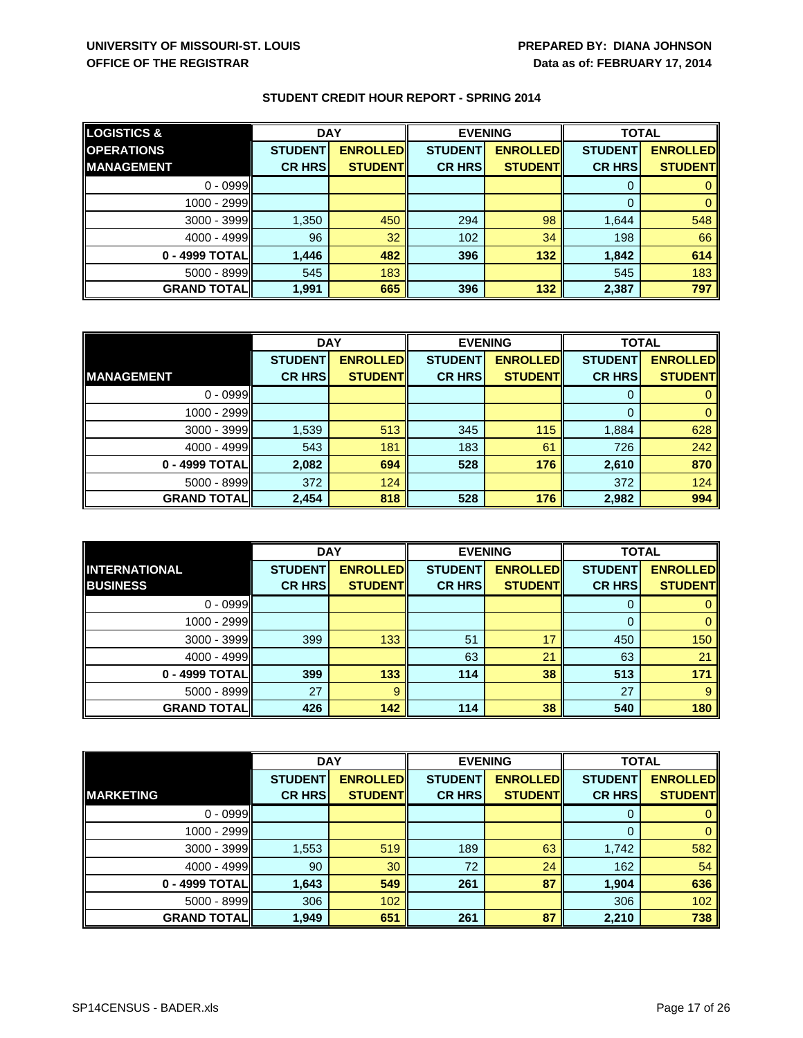| <b>LOGISTICS &amp;</b> | <b>DAY</b>     |                 | <b>EVENING</b> |                 | <b>TOTAL</b>   |                 |
|------------------------|----------------|-----------------|----------------|-----------------|----------------|-----------------|
| <b>OPERATIONS</b>      | <b>STUDENT</b> | <b>ENROLLED</b> | <b>STUDENT</b> | <b>ENROLLED</b> | <b>STUDENT</b> | <b>ENROLLED</b> |
| <b>MANAGEMENT</b>      | <b>CR HRS</b>  | <b>STUDENTI</b> | <b>CR HRS</b>  | <b>STUDENT</b>  | <b>CR HRS</b>  | <b>STUDENT</b>  |
| $0 - 0999$             |                |                 |                |                 | O              |                 |
| 1000 - 2999            |                |                 |                |                 | $\Omega$       |                 |
| $3000 - 3999$          | 1,350          | 450             | 294            | 98              | 1,644          | 548             |
| $4000 - 4999$          | 96             | 32              | 102            | 34              | 198            | 66              |
| 0 - 4999 TOTALI        | 1,446          | 482             | 396            | 132             | 1,842          | 614             |
| 5000 - 8999            | 545            | 183             |                |                 | 545            | 183             |
| <b>GRAND TOTALI</b>    | 1,991          | 665             | 396            | 132             | 2,387          | 797             |

|                     | <b>DAY</b>     |                 | <b>EVENING</b> |                 | <b>TOTAL</b>   |                 |
|---------------------|----------------|-----------------|----------------|-----------------|----------------|-----------------|
|                     | <b>STUDENT</b> | <b>ENROLLED</b> | <b>STUDENT</b> | <b>ENROLLED</b> | <b>STUDENT</b> | <b>ENROLLED</b> |
| <b>MANAGEMENT</b>   | <b>CR HRS</b>  | <b>STUDENT</b>  | <b>CR HRS</b>  | <b>STUDENT</b>  | <b>CR HRS</b>  | <b>STUDENT</b>  |
| $0 - 0999$          |                |                 |                |                 |                |                 |
| 1000 - 2999         |                |                 |                |                 | $\Omega$       |                 |
| 3000 - 3999         | 1,539          | 513             | 345            | 115             | 1,884          | 628             |
| $4000 - 4999$       | 543            | 181             | 183            | 61              | 726            | 242             |
| 0 - 4999 TOTAL      | 2,082          | 694             | 528            | 176             | 2,610          | 870             |
| 5000 - 8999         | 372            | 124             |                |                 | 372            | 124             |
| <b>GRAND TOTALI</b> | 2,454          | 818             | 528            | 176             | 2,982          | 994             |

|                      | <b>DAY</b>     |                 | <b>EVENING</b> |                 | <b>TOTAL</b>   |                 |
|----------------------|----------------|-----------------|----------------|-----------------|----------------|-----------------|
| <b>INTERNATIONAL</b> | <b>STUDENT</b> | <b>ENROLLED</b> | <b>STUDENT</b> | <b>ENROLLED</b> | <b>STUDENT</b> | <b>ENROLLED</b> |
| <b>BUSINESS</b>      | <b>CR HRS</b>  | <b>STUDENT</b>  | <b>CR HRS</b>  | <b>STUDENT</b>  | <b>CR HRS</b>  | <b>STUDENT</b>  |
| $0 - 0999$           |                |                 |                |                 | 0              |                 |
| 1000 - 2999          |                |                 |                |                 | $\Omega$       |                 |
| 3000 - 3999          | 399            | 133             | 51             | 17              | 450            | 150             |
| 4000 - 4999          |                |                 | 63             | 21              | 63             | 21              |
| 0 - 4999 TOTAL       | 399            | 133             | 114            | 38              | 513            | 171             |
| 5000 - 8999          | 27             | 9               |                |                 | 27             |                 |
| <b>GRAND TOTAL</b>   | 426            | 142             | 114            | 38              | 540            | 180             |

|                    | <b>DAY</b>     |                 | <b>EVENING</b> |                 | <b>TOTAL</b>   |                 |
|--------------------|----------------|-----------------|----------------|-----------------|----------------|-----------------|
|                    | <b>STUDENT</b> | <b>ENROLLED</b> | <b>STUDENT</b> | <b>ENROLLED</b> | <b>STUDENT</b> | <b>ENROLLED</b> |
| <b>MARKETING</b>   | <b>CR HRS</b>  | <b>STUDENT</b>  | <b>CR HRS</b>  | <b>STUDENT</b>  | <b>CR HRS</b>  | <b>STUDENT</b>  |
| $0 - 0999$         |                |                 |                |                 | 0              |                 |
| 1000 - 2999        |                |                 |                |                 | $\Omega$       |                 |
| 3000 - 3999        | 1,553          | 519             | 189            | 63              | 1,742          | 582             |
| $4000 - 4999$      | 90             | 30              | 72             | 24              | 162            | 54              |
| 0 - 4999 TOTAL     | 1,643          | 549             | 261            | 87              | 1,904          | 636             |
| 5000 - 8999        | 306            | 102             |                |                 | 306            | 102             |
| <b>GRAND TOTAL</b> | 1,949          | 651             | 261            | 87              | 2,210          | 738             |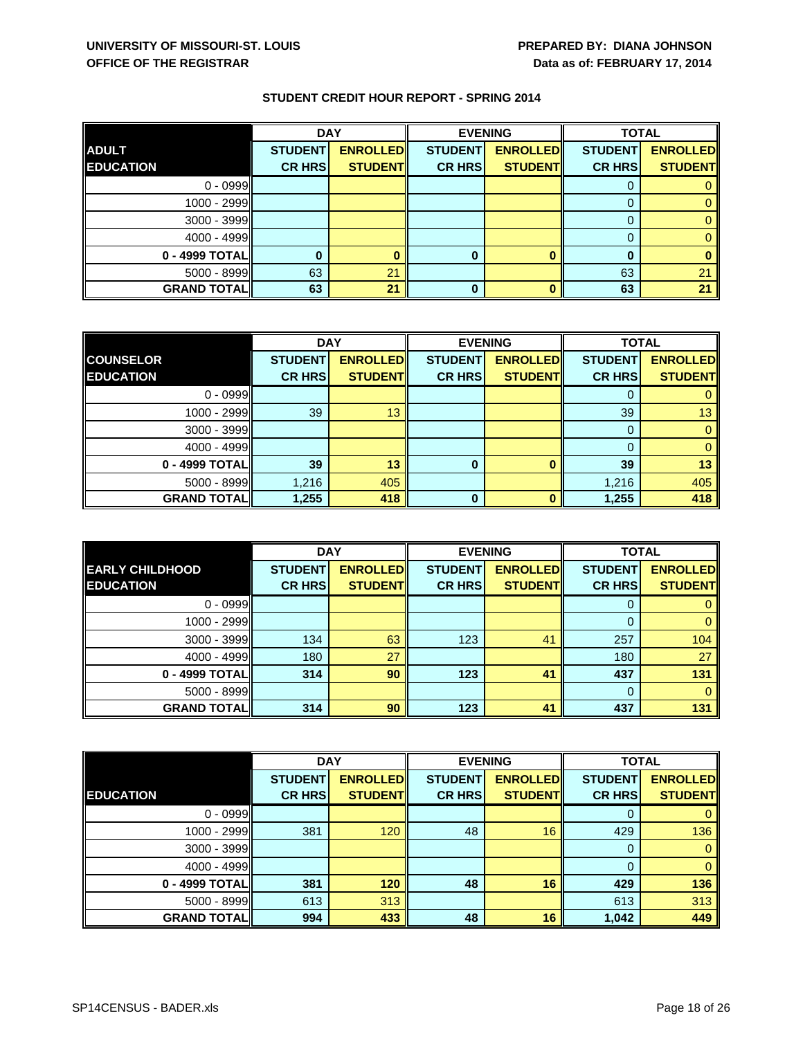|                    | <b>DAY</b>     |                 | <b>EVENING</b> |                 | <b>TOTAL</b>   |                 |
|--------------------|----------------|-----------------|----------------|-----------------|----------------|-----------------|
| <b>ADULT</b>       | <b>STUDENT</b> | <b>ENROLLED</b> | <b>STUDENT</b> | <b>ENROLLED</b> | <b>STUDENT</b> | <b>ENROLLED</b> |
| <b>EDUCATION</b>   | <b>CR HRS</b>  | <b>STUDENT</b>  | <b>CR HRS</b>  | <b>STUDENT</b>  | <b>CR HRS</b>  | <b>STUDENT</b>  |
| $0 - 0999$         |                |                 |                |                 | Ü              |                 |
| 1000 - 2999        |                |                 |                |                 |                |                 |
| 3000 - 3999        |                |                 |                |                 | $\Omega$       |                 |
| $4000 - 4999$      |                |                 |                |                 |                |                 |
| 0 - 4999 TOTAL     |                |                 |                |                 | 0              |                 |
| $5000 - 8999$      | 63             | 21              |                |                 | 63             | 21              |
| <b>GRAND TOTAL</b> | 63             | 21              |                |                 | 63             | 21              |

|                    | <b>DAY</b>     |                 | <b>EVENING</b> |                 | <b>TOTAL</b>   |                 |
|--------------------|----------------|-----------------|----------------|-----------------|----------------|-----------------|
| <b>COUNSELOR</b>   | <b>STUDENT</b> | <b>ENROLLED</b> | <b>STUDENT</b> | <b>ENROLLED</b> | <b>STUDENT</b> | <b>ENROLLED</b> |
| <b>EDUCATION</b>   | <b>CR HRS</b>  | <b>STUDENTI</b> | <b>CR HRS</b>  | <b>STUDENT</b>  | <b>CR HRS</b>  | <b>STUDENT</b>  |
| $0 - 0999$         |                |                 |                |                 |                |                 |
| 1000 - 2999        | 39             | 13              |                |                 | 39             | 13              |
| $3000 - 3999$      |                |                 |                |                 | 0              |                 |
| 4000 - 4999        |                |                 |                |                 |                |                 |
| 0 - 4999 TOTAL     | 39             | 13              | 0              |                 | 39             | 13              |
| 5000 - 8999        | 1,216          | 405             |                |                 | 1,216          | 405             |
| <b>GRAND TOTAL</b> | 1,255          | 418             | 0              |                 | 1,255          | 418             |

|                        | <b>DAY</b>     |                 | <b>EVENING</b> |                 | <b>TOTAL</b>   |                 |
|------------------------|----------------|-----------------|----------------|-----------------|----------------|-----------------|
| <b>EARLY CHILDHOOD</b> | <b>STUDENT</b> | <b>ENROLLED</b> | <b>STUDENT</b> | <b>ENROLLED</b> | <b>STUDENT</b> | <b>ENROLLED</b> |
| <b>EDUCATION</b>       | <b>CR HRS</b>  | <b>STUDENT</b>  | <b>CR HRS</b>  | <b>STUDENT</b>  | <b>CR HRS</b>  | <b>STUDENT</b>  |
| $0 - 0999$             |                |                 |                |                 |                |                 |
| 1000 - 2999            |                |                 |                |                 | $\Omega$       |                 |
| $3000 - 3999$          | 134            | 63              | 123            | 41              | 257            | 104             |
| 4000 - 4999            | 180            | 27              |                |                 | 180            | 27              |
| 0 - 4999 TOTAL         | 314            | 90              | 123            | 41              | 437            | 131             |
| 5000 - 8999            |                |                 |                |                 | 0              |                 |
| <b>GRAND TOTAL</b>     | 314            | 90              | 123            | 41              | 437            | 131             |

|                    | <b>DAY</b>     |                 | <b>EVENING</b> |                 | <b>TOTAL</b>   |                 |
|--------------------|----------------|-----------------|----------------|-----------------|----------------|-----------------|
|                    | <b>STUDENT</b> | <b>ENROLLED</b> | <b>STUDENT</b> | <b>ENROLLED</b> | <b>STUDENT</b> | <b>ENROLLED</b> |
| <b>EDUCATION</b>   | <b>CR HRS</b>  | <b>STUDENT</b>  | <b>CR HRS</b>  | <b>STUDENT</b>  | <b>CR HRS</b>  | <b>STUDENT</b>  |
| $0 - 0999$         |                |                 |                |                 | 0              |                 |
| 1000 - 2999        | 381            | 120             | 48             | 16              | 429            | 136             |
| 3000 - 3999        |                |                 |                |                 | 0              |                 |
| $4000 - 4999$      |                |                 |                |                 | $\Omega$       |                 |
| 0 - 4999 TOTAL     | 381            | 120             | 48             | 16              | 429            | 136             |
| $5000 - 8999$      | 613            | 313             |                |                 | 613            | 313             |
| <b>GRAND TOTAL</b> | 994            | 433             | 48             | 16              | 1,042          | 449             |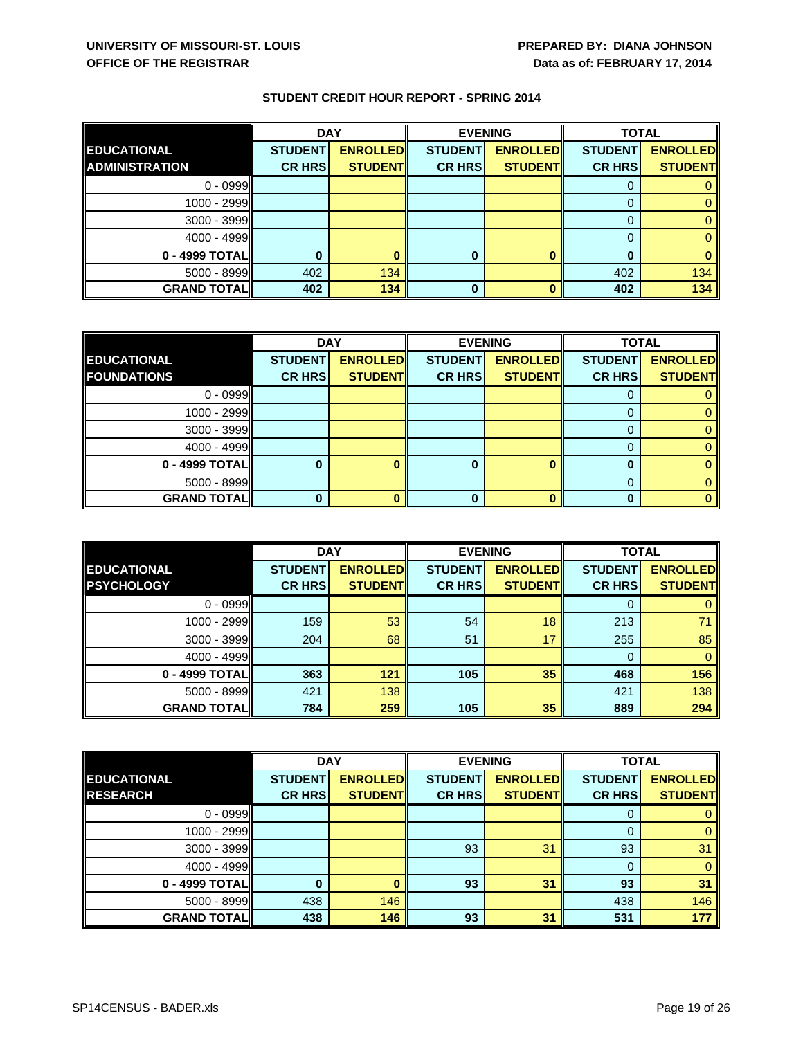|                       | <b>DAY</b>     |                 | <b>EVENING</b> |                 | <b>TOTAL</b>   |                 |
|-----------------------|----------------|-----------------|----------------|-----------------|----------------|-----------------|
| <b>EDUCATIONAL</b>    | <b>STUDENT</b> | <b>ENROLLED</b> | <b>STUDENT</b> | <b>ENROLLED</b> | <b>STUDENT</b> | <b>ENROLLED</b> |
| <b>ADMINISTRATION</b> | <b>CR HRS</b>  | <b>STUDENT</b>  | <b>CR HRS</b>  | <b>STUDENT</b>  | <b>CR HRS</b>  | <b>STUDENT</b>  |
| $0 - 0999$            |                |                 |                |                 | Ü              |                 |
| 1000 - 2999           |                |                 |                |                 |                |                 |
| 3000 - 3999           |                |                 |                |                 |                |                 |
| $4000 - 4999$         |                |                 |                |                 |                |                 |
| 0 - 4999 TOTAL        |                |                 |                |                 |                |                 |
| 5000 - 8999           | 402            | 134             |                |                 | 402            | 134             |
| <b>GRAND TOTAL</b>    | 402            | 134             | 0              |                 | 402            | 134             |

|                     | <b>DAY</b>     |                 | <b>EVENING</b> |                 | <b>TOTAL</b>   |                 |
|---------------------|----------------|-----------------|----------------|-----------------|----------------|-----------------|
| <b>EDUCATIONAL</b>  | <b>STUDENT</b> | <b>ENROLLED</b> | <b>STUDENT</b> | <b>ENROLLED</b> | <b>STUDENT</b> | <b>ENROLLED</b> |
| <b>FOUNDATIONS</b>  | <b>CR HRS</b>  | <b>STUDENTI</b> | <b>CR HRS</b>  | <b>STUDENT</b>  | <b>CR HRS</b>  | <b>STUDENT</b>  |
| $0 - 0999$          |                |                 |                |                 |                |                 |
| 1000 - 2999         |                |                 |                |                 |                |                 |
| $3000 - 3999$       |                |                 |                |                 |                |                 |
| $4000 - 4999$       |                |                 |                |                 |                |                 |
| 0 - 4999 TOTAL      |                |                 |                |                 |                |                 |
| $5000 - 8999$       |                |                 |                |                 |                |                 |
| <b>GRAND TOTALI</b> |                |                 | n              |                 |                |                 |

|                    | <b>DAY</b>     |                 | <b>EVENING</b> |                 | <b>TOTAL</b>   |                 |
|--------------------|----------------|-----------------|----------------|-----------------|----------------|-----------------|
| <b>EDUCATIONAL</b> | <b>STUDENT</b> | <b>ENROLLED</b> | <b>STUDENT</b> | <b>ENROLLED</b> | <b>STUDENT</b> | <b>ENROLLED</b> |
| <b>PSYCHOLOGY</b>  | <b>CR HRS</b>  | <b>STUDENT</b>  | <b>CR HRS</b>  | <b>STUDENT</b>  | <b>CR HRS</b>  | <b>STUDENT</b>  |
| $0 - 0999$         |                |                 |                |                 |                |                 |
| 1000 - 2999        | 159            | 53              | 54             | 18              | 213            |                 |
| $3000 - 3999$      | 204            | 68              | 51             | 17              | 255            | 85              |
| 4000 - 4999        |                |                 |                |                 | 0              |                 |
| 0 - 4999 TOTAL     | 363            | 121             | 105            | 35              | 468            | 156             |
| 5000 - 8999        | 421            | 138             |                |                 | 421            | 138             |
| <b>GRAND TOTAL</b> | 784            | 259             | 105            | 35              | 889            | 294             |

|                    | <b>DAY</b>     |                 | <b>EVENING</b> |                 | <b>TOTAL</b>   |                 |
|--------------------|----------------|-----------------|----------------|-----------------|----------------|-----------------|
| <b>EDUCATIONAL</b> | <b>STUDENT</b> | <b>ENROLLED</b> | <b>STUDENT</b> | <b>ENROLLED</b> | <b>STUDENT</b> | <b>ENROLLED</b> |
| <b>RESEARCH</b>    | <b>CR HRS</b>  | <b>STUDENTI</b> | <b>CR HRS</b>  | <b>STUDENT</b>  | <b>CR HRS</b>  | <b>STUDENT</b>  |
| $0 - 0999$         |                |                 |                |                 | 0              |                 |
| $1000 - 2999$      |                |                 |                |                 | 0              |                 |
| 3000 - 3999        |                |                 | 93             | 31              | 93             | 31              |
| 4000 - 4999        |                |                 |                |                 | 0              |                 |
| 0 - 4999 TOTAL     |                |                 | 93             | 31              | 93             | 31              |
| $5000 - 8999$      | 438            | 146             |                |                 | 438            | 146             |
| <b>GRAND TOTAL</b> | 438            | 146             | 93             | 31              | 531            | 177             |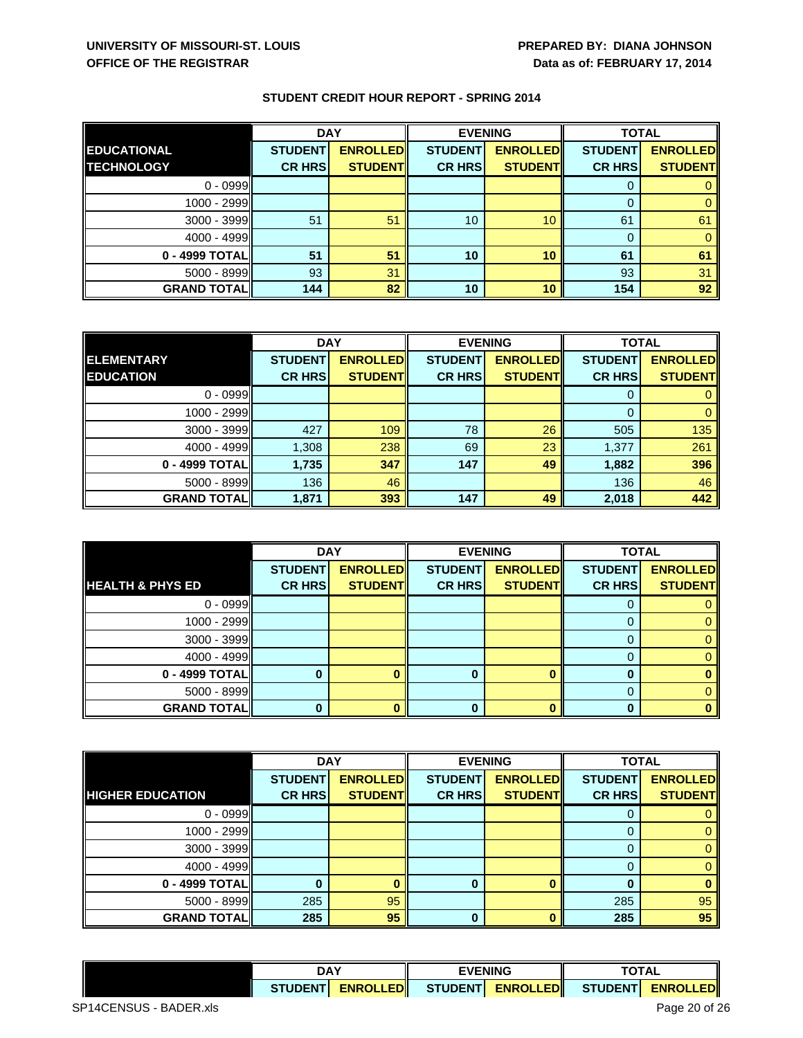|                    | <b>DAY</b>     |                 | <b>EVENING</b>  |                 | <b>TOTAL</b>   |                 |
|--------------------|----------------|-----------------|-----------------|-----------------|----------------|-----------------|
| <b>EDUCATIONAL</b> | <b>STUDENT</b> | <b>ENROLLED</b> | <b>STUDENT</b>  | <b>ENROLLED</b> | <b>STUDENT</b> | <b>ENROLLED</b> |
| <b>TECHNOLOGY</b>  | <b>CR HRS</b>  | <b>STUDENT</b>  | <b>CR HRS</b>   | <b>STUDENT</b>  | <b>CR HRS</b>  | <b>STUDENT</b>  |
| $0 - 0999$         |                |                 |                 |                 | 0              |                 |
| 1000 - 2999        |                |                 |                 |                 | $\Omega$       |                 |
| 3000 - 3999        | 51             | 51              | 10 <sup>°</sup> | 10 <sup>°</sup> | 61             | 61              |
| $4000 - 4999$      |                |                 |                 |                 | 0              |                 |
| 0 - 4999 TOTAL     | 51             | 51              | 10              | 10              | 61             | 61              |
| 5000 - 8999        | 93             | 31              |                 |                 | 93             | 31              |
| <b>GRAND TOTAL</b> | 144            | 82              | 10              | 10              | 154            | 92              |

|                     | <b>DAY</b>     |                 | <b>EVENING</b> |                 | <b>TOTAL</b>   |                 |
|---------------------|----------------|-----------------|----------------|-----------------|----------------|-----------------|
| <b>ELEMENTARY</b>   | <b>STUDENT</b> | <b>ENROLLED</b> | <b>STUDENT</b> | <b>ENROLLED</b> | <b>STUDENT</b> | <b>ENROLLED</b> |
| <b>EDUCATION</b>    | <b>CR HRS</b>  | <b>STUDENT</b>  | <b>CR HRS</b>  | <b>STUDENT</b>  | <b>CR HRS</b>  | <b>STUDENT</b>  |
| $0 - 0999$          |                |                 |                |                 |                |                 |
| $1000 - 2999$       |                |                 |                |                 | 0              |                 |
| $3000 - 3999$       | 427            | 109             | 78             | 26              | 505            | 135             |
| $4000 - 4999$       | 1,308          | 238             | 69             | 23              | 1,377          | 261             |
| 0 - 4999 TOTAL      | 1,735          | 347             | 147            | 49              | 1,882          | 396             |
| $5000 - 8999$       | 136            | 46              |                |                 | 136            | 46              |
| <b>GRAND TOTALI</b> | 1,871          | 393             | 147            | 49              | 2,018          | 442             |

|                             | <b>DAY</b>     |                 | <b>EVENING</b> |                 | <b>TOTAL</b>   |                 |
|-----------------------------|----------------|-----------------|----------------|-----------------|----------------|-----------------|
|                             | <b>STUDENT</b> | <b>ENROLLED</b> | <b>STUDENT</b> | <b>ENROLLED</b> | <b>STUDENT</b> | <b>ENROLLED</b> |
| <b>HEALTH &amp; PHYS ED</b> | <b>CR HRS</b>  | <b>STUDENT</b>  | <b>CR HRS</b>  | <b>STUDENT</b>  | <b>CR HRS</b>  | <b>STUDENT</b>  |
| $0 - 0999$                  |                |                 |                |                 |                |                 |
| 1000 - 2999                 |                |                 |                |                 |                |                 |
| 3000 - 3999                 |                |                 |                |                 | 0              |                 |
| $4000 - 4999$               |                |                 |                |                 |                |                 |
| 0 - 4999 TOTAL              |                |                 |                |                 | $\bf{0}$       |                 |
| $5000 - 8999$               |                |                 |                |                 | 0              |                 |
| <b>GRAND TOTAL</b>          |                |                 |                |                 | n              |                 |

|                         | <b>DAY</b>     |                 | <b>EVENING</b> |                 | <b>TOTAL</b>   |                 |
|-------------------------|----------------|-----------------|----------------|-----------------|----------------|-----------------|
|                         | <b>STUDENT</b> | <b>ENROLLED</b> | <b>STUDENT</b> | <b>ENROLLED</b> | <b>STUDENT</b> | <b>ENROLLED</b> |
| <b>HIGHER EDUCATION</b> | <b>CR HRS</b>  | <b>STUDENT</b>  | <b>CR HRS</b>  | <b>STUDENT</b>  | <b>CR HRS</b>  | <b>STUDENT</b>  |
| $0 - 0999$              |                |                 |                |                 | O              |                 |
| 1000 - 2999             |                |                 |                |                 |                |                 |
| $3000 - 3999$           |                |                 |                |                 | $\Omega$       |                 |
| $4000 - 4999$           |                |                 |                |                 | 0              |                 |
| 0 - 4999 TOTAL          |                |                 |                |                 |                |                 |
| 5000 - 8999             | 285            | 95              |                |                 | 285            | 95              |
| <b>GRAND TOTAL</b>      | 285            | 95              | 0              |                 | 285            | 95              |

| <b>DAY</b>                         |  | <b>EVENING</b> |                 | TOT A<br>$\sim$ |                 |
|------------------------------------|--|----------------|-----------------|-----------------|-----------------|
| <b>ENROLLEDI</b><br><b>STUDENT</b> |  | <b>STUDENT</b> | <b>ENROLLED</b> | <b>STUDENT</b>  | <b>ENROLLED</b> |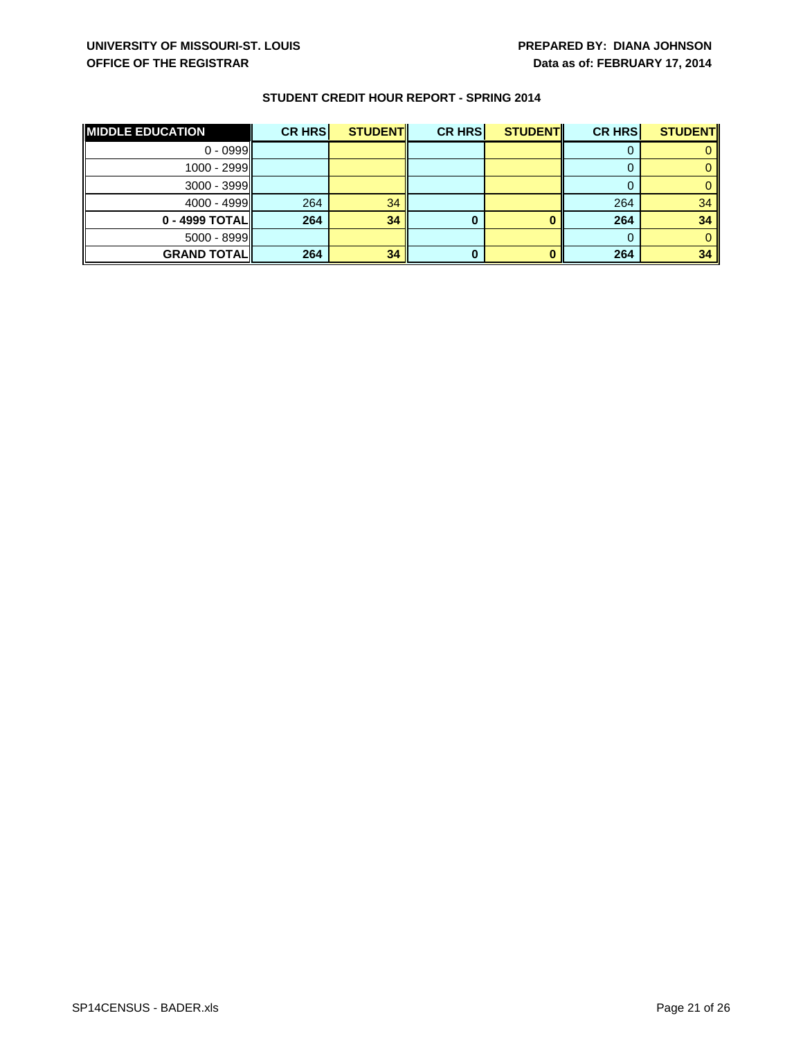| <b>MIDDLE EDUCATION</b> | <b>CR HRS</b> | <b>STUDENTI</b> | <b>CR HRS</b> | <b>STUDENT</b> | <b>CR HRS</b> | <b>STUDENT</b> |
|-------------------------|---------------|-----------------|---------------|----------------|---------------|----------------|
| $0 - 0999$              |               |                 |               |                |               |                |
| $1000 - 2999$           |               |                 |               |                |               |                |
| $3000 - 3999$           |               |                 |               |                |               |                |
| $4000 - 4999$           | 264           | 34              |               |                | 264           | 34             |
| 0 - 4999 TOTAL          | 264           | 34              |               |                | 264           | 34             |
| $5000 - 8999$           |               |                 |               |                |               |                |
| <b>GRAND TOTAL</b>      | 264           | 34              |               |                | 264           | 34             |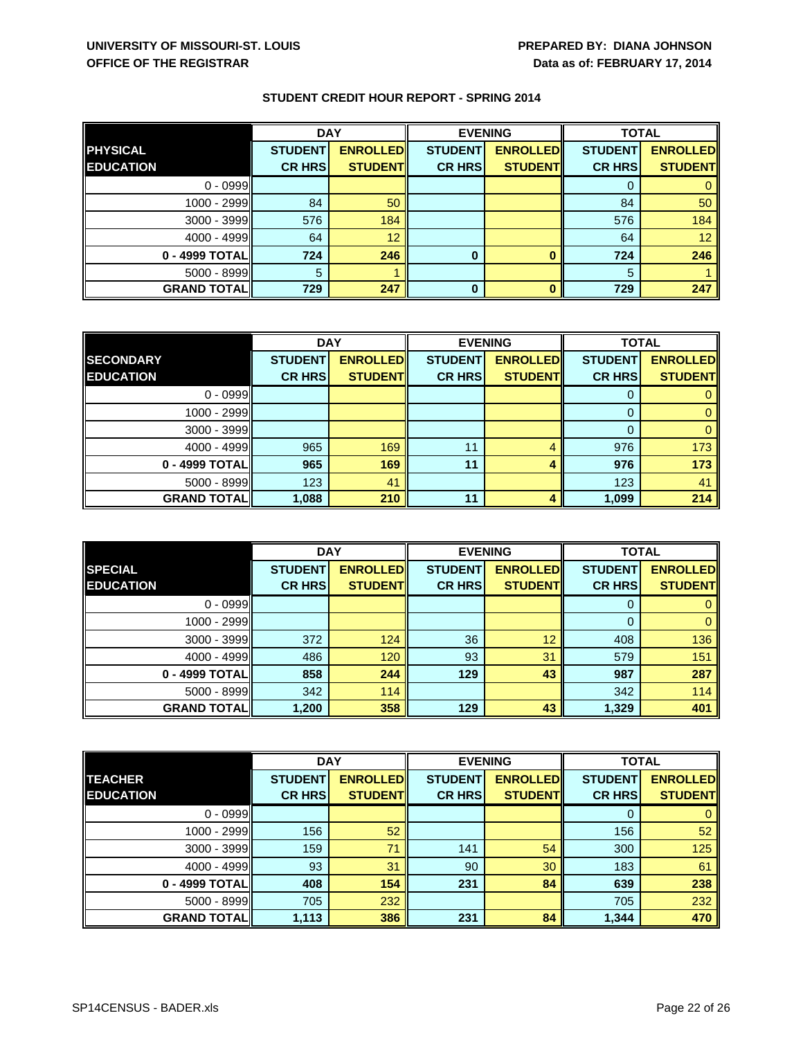|                    | <b>DAY</b>     |                 | <b>EVENING</b> |                 | <b>TOTAL</b>   |                 |
|--------------------|----------------|-----------------|----------------|-----------------|----------------|-----------------|
| <b>PHYSICAL</b>    | <b>STUDENT</b> | <b>ENROLLED</b> | <b>STUDENT</b> | <b>ENROLLED</b> | <b>STUDENT</b> | <b>ENROLLED</b> |
| <b>EDUCATION</b>   | <b>CR HRS</b>  | <b>STUDENT</b>  | <b>CR HRS</b>  | <b>STUDENT</b>  | <b>CR HRS</b>  | <b>STUDENT</b>  |
| $0 - 0999$         |                |                 |                |                 | υ              |                 |
| 1000 - 2999        | 84             | 50              |                |                 | 84             | 50              |
| 3000 - 3999        | 576            | 184             |                |                 | 576            | 184             |
| $4000 - 4999$      | 64             | 12              |                |                 | 64             | 12 <sup>°</sup> |
| 0 - 4999 TOTAL     | 724            | 246             | 0              |                 | 724            | 246             |
| 5000 - 8999        | 5              |                 |                |                 | 5              |                 |
| <b>GRAND TOTAL</b> | 729            | 247             | 0              |                 | 729            | 247             |

|                     | <b>DAY</b>     |                 | <b>EVENING</b> |                 | <b>TOTAL</b>   |                 |
|---------------------|----------------|-----------------|----------------|-----------------|----------------|-----------------|
| <b>SECONDARY</b>    | <b>STUDENT</b> | <b>ENROLLED</b> | <b>STUDENT</b> | <b>ENROLLED</b> | <b>STUDENT</b> | <b>ENROLLED</b> |
| <b>EDUCATION</b>    | <b>CR HRS</b>  | <b>STUDENT</b>  | <b>CR HRS</b>  | <b>STUDENT</b>  | <b>CR HRS</b>  | <b>STUDENT</b>  |
| $0 - 0999$          |                |                 |                |                 |                |                 |
| 1000 - 2999         |                |                 |                |                 |                |                 |
| $3000 - 3999$       |                |                 |                |                 |                |                 |
| $4000 - 4999$       | 965            | 169             | 11             |                 | 976            | 173             |
| 0 - 4999 TOTAL      | 965            | 169             | 11             |                 | 976            | 173             |
| 5000 - 8999         | 123            | 41              |                |                 | 123            | 41              |
| <b>GRAND TOTALI</b> | 1,088          | 210             | 11             |                 | 1,099          | 214             |

|                    | <b>DAY</b>     |                 | <b>EVENING</b> |                 | <b>TOTAL</b>   |                 |
|--------------------|----------------|-----------------|----------------|-----------------|----------------|-----------------|
| <b>SPECIAL</b>     | <b>STUDENT</b> | <b>ENROLLED</b> | <b>STUDENT</b> | <b>ENROLLED</b> | <b>STUDENT</b> | <b>ENROLLED</b> |
| <b>EDUCATION</b>   | <b>CR HRS</b>  | <b>STUDENT</b>  | <b>CR HRS</b>  | <b>STUDENT</b>  | <b>CR HRS</b>  | <b>STUDENT</b>  |
| $0 - 0999$         |                |                 |                |                 | 0              |                 |
| 1000 - 2999        |                |                 |                |                 | $\Omega$       |                 |
| 3000 - 3999        | 372            | 124             | 36             | 12              | 408            | 136             |
| 4000 - 4999        | 486            | 120             | 93             | 31              | 579            | 151             |
| 0 - 4999 TOTAL     | 858            | 244             | 129            | 43              | 987            | 287             |
| 5000 - 8999        | 342            | 114             |                |                 | 342            | 114             |
| <b>GRAND TOTAL</b> | 1,200          | 358             | 129            | 43              | 1,329          | 401             |

|                    | <b>DAY</b>     |                 | <b>EVENING</b> |                 |                | <b>TOTAL</b>    |  |
|--------------------|----------------|-----------------|----------------|-----------------|----------------|-----------------|--|
| <b>TEACHER</b>     | <b>STUDENT</b> | <b>ENROLLED</b> | <b>STUDENT</b> | <b>ENROLLED</b> | <b>STUDENT</b> | <b>ENROLLED</b> |  |
| <b>EDUCATION</b>   | <b>CR HRS</b>  | <b>STUDENT</b>  | <b>CR HRS</b>  | <b>STUDENT</b>  | <b>CR HRS</b>  | <b>STUDENT</b>  |  |
| $0 - 0999$         |                |                 |                |                 | 0              |                 |  |
| 1000 - 2999        | 156            | 52              |                |                 | 156            | 52              |  |
| $3000 - 3999$      | 159            | 71              | 141            | 54              | 300            | 125             |  |
| 4000 - 4999        | 93             | 31              | 90             | 30              | 183            | 61              |  |
| 0 - 4999 TOTAL     | 408            | 154             | 231            | 84              | 639            | 238             |  |
| 5000 - 8999        | 705            | 232             |                |                 | 705            | 232             |  |
| <b>GRAND TOTAL</b> | 1,113          | 386             | 231            | 84              | 1,344          | 470             |  |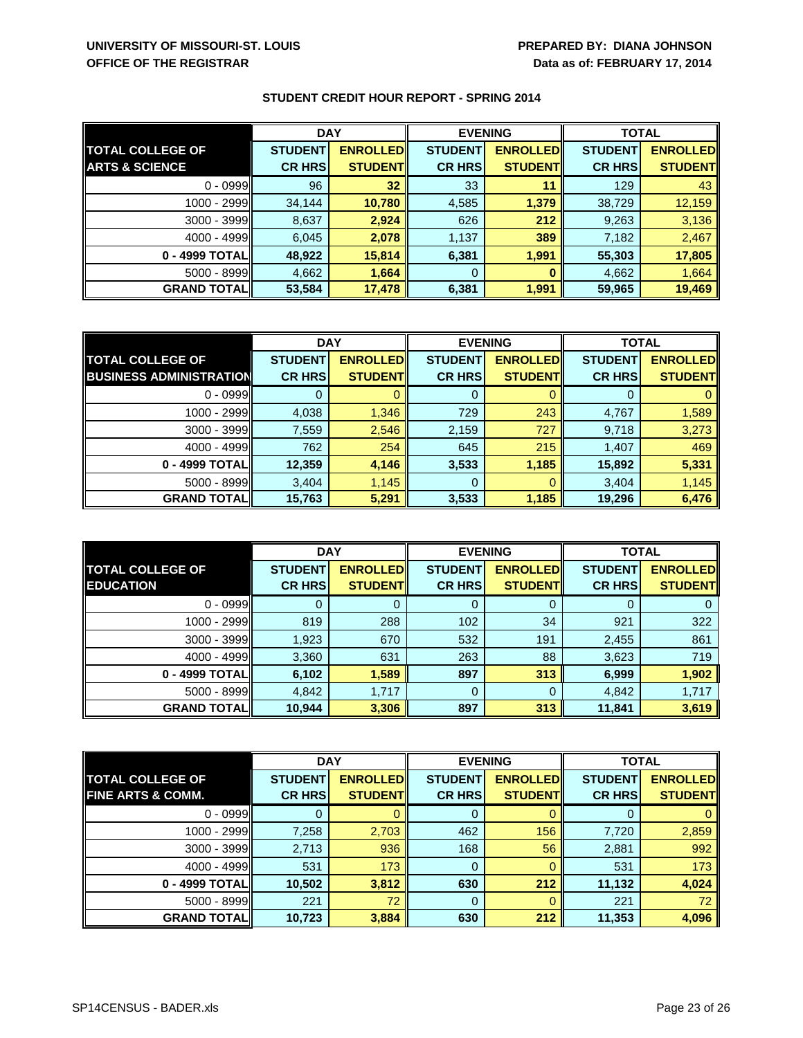|                           | <b>DAY</b>     |                 | <b>EVENING</b> |                 | <b>TOTAL</b>   |                 |
|---------------------------|----------------|-----------------|----------------|-----------------|----------------|-----------------|
| <b>TOTAL COLLEGE OF</b>   | <b>STUDENT</b> | <b>ENROLLED</b> | <b>STUDENT</b> | <b>ENROLLED</b> | <b>STUDENT</b> | <b>ENROLLED</b> |
| <b>ARTS &amp; SCIENCE</b> | <b>CR HRS</b>  | <b>STUDENT</b>  | <b>CR HRS</b>  | <b>STUDENTI</b> | <b>CR HRS</b>  | <b>STUDENT</b>  |
| $0 - 0999$                | 96             | 32              | 33             | 11              | 129            | 43              |
| 1000 - 2999               | 34,144         | 10,780          | 4,585          | 1,379           | 38,729         | 12,159          |
| $3000 - 3999$             | 8,637          | 2,924           | 626            | 212             | 9,263          | 3,136           |
| $4000 - 4999$             | 6,045          | 2,078           | 1,137          | 389             | 7,182          | 2,467           |
| 0 - 4999 TOTAL            | 48,922         | 15,814          | 6,381          | 1,991           | 55,303         | 17,805          |
| $5000 - 8999$             | 4,662          | 1,664           | 0              |                 | 4,662          | 1,664           |
| <b>GRAND TOTAL</b>        | 53,584         | 17,478          | 6,381          | 1,991           | 59,965         | 19,469          |

|                                | <b>DAY</b>     |                 | <b>EVENING</b> |                 | <b>TOTAL</b>   |                 |
|--------------------------------|----------------|-----------------|----------------|-----------------|----------------|-----------------|
| <b>TOTAL COLLEGE OF</b>        | <b>STUDENT</b> | <b>ENROLLED</b> | <b>STUDENT</b> | <b>ENROLLED</b> | <b>STUDENT</b> | <b>ENROLLED</b> |
| <b>BUSINESS ADMINISTRATION</b> | <b>CR HRS</b>  | <b>STUDENT</b>  | <b>CR HRS</b>  | <b>STUDENT</b>  | <b>CR HRS</b>  | <b>STUDENT</b>  |
| $0 - 0999$                     |                |                 | O              |                 |                |                 |
| $1000 - 2999$                  | 4,038          | 1,346           | 729            | 243             | 4,767          | 1,589           |
| $3000 - 3999$                  | 7,559          | 2,546           | 2,159          | 727             | 9,718          | 3,273           |
| 4000 - 4999                    | 762            | 254             | 645            | 215             | 1,407          | 469             |
| 0 - 4999 TOTAL                 | 12,359         | 4,146           | 3,533          | 1,185           | 15,892         | 5,331           |
| $5000 - 8999$                  | 3,404          | 1,145           | 0              |                 | 3,404          | 1,145           |
| <b>GRAND TOTALI</b>            | 15,763         | 5,291           | 3,533          | 1,185           | 19,296         | 6,476           |

|                                             | <b>DAY</b>                      |                                   | <b>EVENING</b>                  |                                   | <b>TOTAL</b>                    |                                    |
|---------------------------------------------|---------------------------------|-----------------------------------|---------------------------------|-----------------------------------|---------------------------------|------------------------------------|
| <b>TOTAL COLLEGE OF</b><br><b>EDUCATION</b> | <b>STUDENT</b><br><b>CR HRS</b> | <b>ENROLLED</b><br><b>STUDENT</b> | <b>STUDENT</b><br><b>CR HRS</b> | <b>ENROLLED</b><br><b>STUDENT</b> | <b>STUDENT</b><br><b>CR HRS</b> | <b>ENROLLED</b><br><b>STUDENTI</b> |
|                                             |                                 |                                   |                                 |                                   |                                 |                                    |
| $0 - 0999$                                  |                                 | 0                                 | U                               |                                   | O                               |                                    |
| 1000 - 2999                                 | 819                             | 288                               | 102                             | 34                                | 921                             | 322                                |
| $3000 - 3999$                               | 1,923                           | 670                               | 532                             | 191                               | 2,455                           | 861                                |
| $4000 - 4999$                               | 3,360                           | 631                               | 263                             | 88                                | 3,623                           | 719                                |
| 0 - 4999 TOTAL                              | 6,102                           | 1,589                             | 897                             | 313                               | 6,999                           | 1,902                              |
| $5000 - 8999$                               | 4,842                           | 1,717                             | $\Omega$                        | $\Omega$                          | 4,842                           | 1,717                              |
| <b>GRAND TOTAL</b>                          | 10,944                          | 3,306                             | 897                             | 313                               | 11,841                          | 3,619                              |

|                              | <b>DAY</b>     |                 | <b>EVENING</b> |                 | <b>TOTAL</b>   |                 |
|------------------------------|----------------|-----------------|----------------|-----------------|----------------|-----------------|
| <b>TOTAL COLLEGE OF</b>      | <b>STUDENT</b> | <b>ENROLLED</b> | <b>STUDENT</b> | <b>ENROLLED</b> | <b>STUDENT</b> | <b>ENROLLED</b> |
| <b>FINE ARTS &amp; COMM.</b> | <b>CR HRS</b>  | <b>STUDENT</b>  | <b>CR HRS</b>  | <b>STUDENT</b>  | <b>CR HRS</b>  | <b>STUDENT</b>  |
| $0 - 0999$                   |                |                 |                |                 | O              |                 |
| $1000 - 2999$                | 7,258          | 2,703           | 462            | 156             | 7,720          | 2,859           |
| $3000 - 3999$                | 2,713          | 936             | 168            | 56              | 2,881          | 992             |
| $4000 - 4999$                | 531            | 173             | 0              |                 | 531            | 173             |
| 0 - 4999 TOTAL               | 10,502         | 3,812           | 630            | 212             | 11,132         | 4,024           |
| $5000 - 8999$                | 221            | 72              | 0              | 0               | 221            | 72              |
| <b>GRAND TOTAL</b>           | 10,723         | 3,884           | 630            | 212             | 11,353         | 4,096           |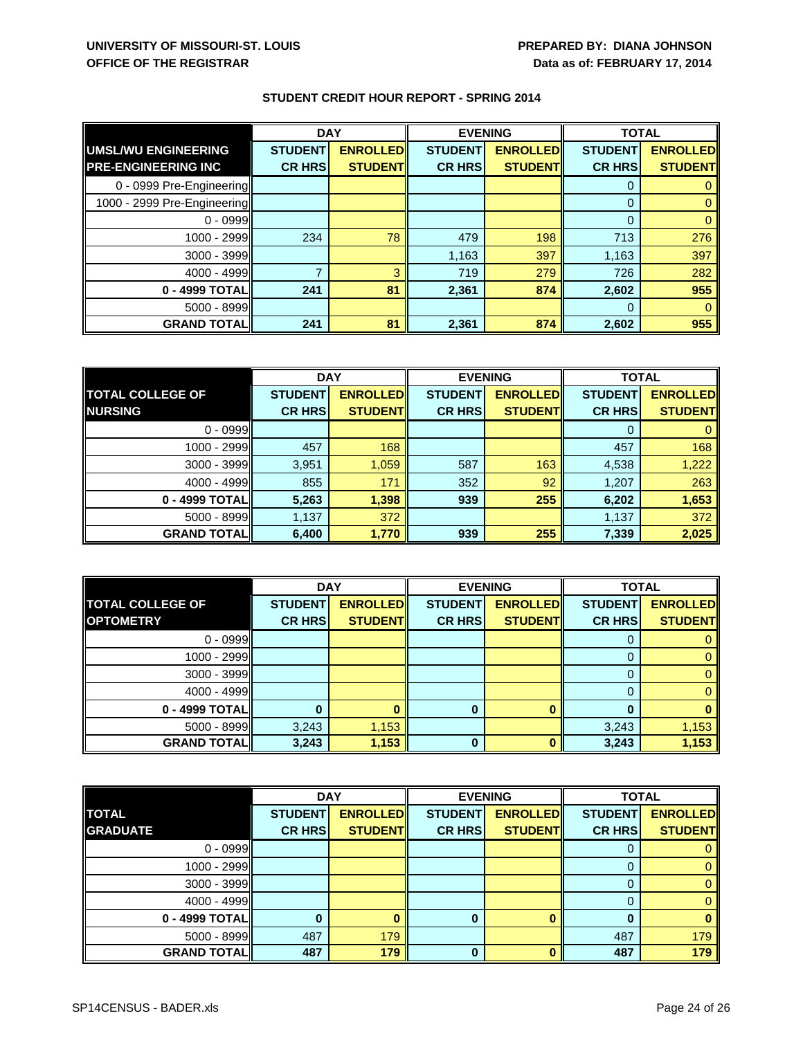|                             | <b>DAY</b>     |                 | <b>EVENING</b> |                 | <b>TOTAL</b>   |                 |
|-----------------------------|----------------|-----------------|----------------|-----------------|----------------|-----------------|
| <b>UMSL/WU ENGINEERING</b>  | <b>STUDENT</b> | <b>ENROLLED</b> | <b>STUDENT</b> | <b>ENROLLED</b> | <b>STUDENT</b> | <b>ENROLLED</b> |
| <b>PRE-ENGINEERING INC</b>  | <b>CR HRSI</b> | <b>STUDENT</b>  | <b>CR HRS</b>  | <b>STUDENT</b>  | <b>CR HRS</b>  | <b>STUDENT</b>  |
| 0 - 0999 Pre-Engineering    |                |                 |                |                 | 0              |                 |
| 1000 - 2999 Pre-Engineering |                |                 |                |                 | $\Omega$       |                 |
| $0 - 0999$                  |                |                 |                |                 | $\Omega$       |                 |
| 1000 - 2999                 | 234            | 78              | 479            | 198             | 713            | 276             |
| 3000 - 3999                 |                |                 | 1,163          | 397             | 1,163          | 397             |
| 4000 - 4999                 |                | 3               | 719            | 279             | 726            | 282             |
| 0 - 4999 TOTAL              | 241            | 81              | 2,361          | 874             | 2,602          | 955             |
| 5000 - 8999                 |                |                 |                |                 | 0              |                 |
| <b>GRAND TOTAL</b>          | 241            | 81              | 2,361          | 874             | 2,602          | 955             |

|                         | <b>DAY</b><br><b>EVENING</b> |                 | <b>TOTAL</b>   |                 |                |                 |
|-------------------------|------------------------------|-----------------|----------------|-----------------|----------------|-----------------|
| <b>TOTAL COLLEGE OF</b> | <b>STUDENT</b>               | <b>ENROLLED</b> | <b>STUDENT</b> | <b>ENROLLED</b> | <b>STUDENT</b> | <b>ENROLLED</b> |
| <b>NURSING</b>          | <b>CR HRS</b>                | <b>STUDENT</b>  | <b>CR HRS</b>  | <b>STUDENT</b>  | <b>CR HRS</b>  | <b>STUDENT</b>  |
| $0 - 0999$              |                              |                 |                |                 | $\Omega$       |                 |
| 1000 - 2999             | 457                          | 168             |                |                 | 457            | 168             |
| 3000 - 3999             | 3,951                        | 1,059           | 587            | 163             | 4,538          | 1,222           |
| 4000 - 4999             | 855                          | 171             | 352            | 92              | 1,207          | 263             |
| 0 - 4999 TOTAL          | 5,263                        | 1,398           | 939            | 255             | 6,202          | 1,653           |
| 5000 - 8999             | 1,137                        | 372             |                |                 | 1,137          | 372             |
| <b>GRAND TOTAL</b>      | 6,400                        | 1,770           | 939            | 255             | 7,339          | 2,025           |

|                         | <b>DAY</b>     |                 | <b>EVENING</b> |                 | <b>TOTAL</b>   |                 |
|-------------------------|----------------|-----------------|----------------|-----------------|----------------|-----------------|
| <b>TOTAL COLLEGE OF</b> | <b>STUDENT</b> | <b>ENROLLED</b> | <b>STUDENT</b> | <b>ENROLLED</b> | <b>STUDENT</b> | <b>ENROLLED</b> |
| <b>OPTOMETRY</b>        | <b>CR HRS</b>  | <b>STUDENTI</b> | <b>CR HRS</b>  | <b>STUDENT</b>  | <b>CR HRS</b>  | <b>STUDENT</b>  |
| $0 - 0999$              |                |                 |                |                 | Ü              |                 |
| 1000 - 2999             |                |                 |                |                 |                |                 |
| $3000 - 3999$           |                |                 |                |                 | 0              |                 |
| 4000 - 4999             |                |                 |                |                 | 0              |                 |
| 0 - 4999 TOTAL          |                |                 | 0              | n               | ŋ              |                 |
| $5000 - 8999$           | 3,243          | 1,153           |                |                 | 3,243          | 1,153           |
| <b>GRAND TOTAL</b>      | 3,243          | 1,153           |                |                 | 3,243          | 1,153           |

|                    | <b>DAY</b><br><b>EVENING</b> |                 | <b>TOTAL</b>   |                 |                |                 |
|--------------------|------------------------------|-----------------|----------------|-----------------|----------------|-----------------|
| <b>TOTAL</b>       | <b>STUDENT</b>               | <b>ENROLLED</b> | <b>STUDENT</b> | <b>ENROLLED</b> | <b>STUDENT</b> | <b>ENROLLED</b> |
| <b>GRADUATE</b>    | <b>CR HRS</b>                | <b>STUDENT</b>  | <b>CR HRS</b>  | <b>STUDENT</b>  | <b>CR HRS</b>  | <b>STUDENT</b>  |
| $0 - 0999$         |                              |                 |                |                 |                |                 |
| 1000 - 2999        |                              |                 |                |                 |                |                 |
| 3000 - 3999        |                              |                 |                |                 |                |                 |
| $4000 - 4999$      |                              |                 |                |                 |                |                 |
| 0 - 4999 TOTAL     |                              |                 | 0              |                 |                |                 |
| $5000 - 8999$      | 487                          | 179             |                |                 | 487            | 179             |
| <b>GRAND TOTAL</b> | 487                          | 179             | 0              |                 | 487            | 179             |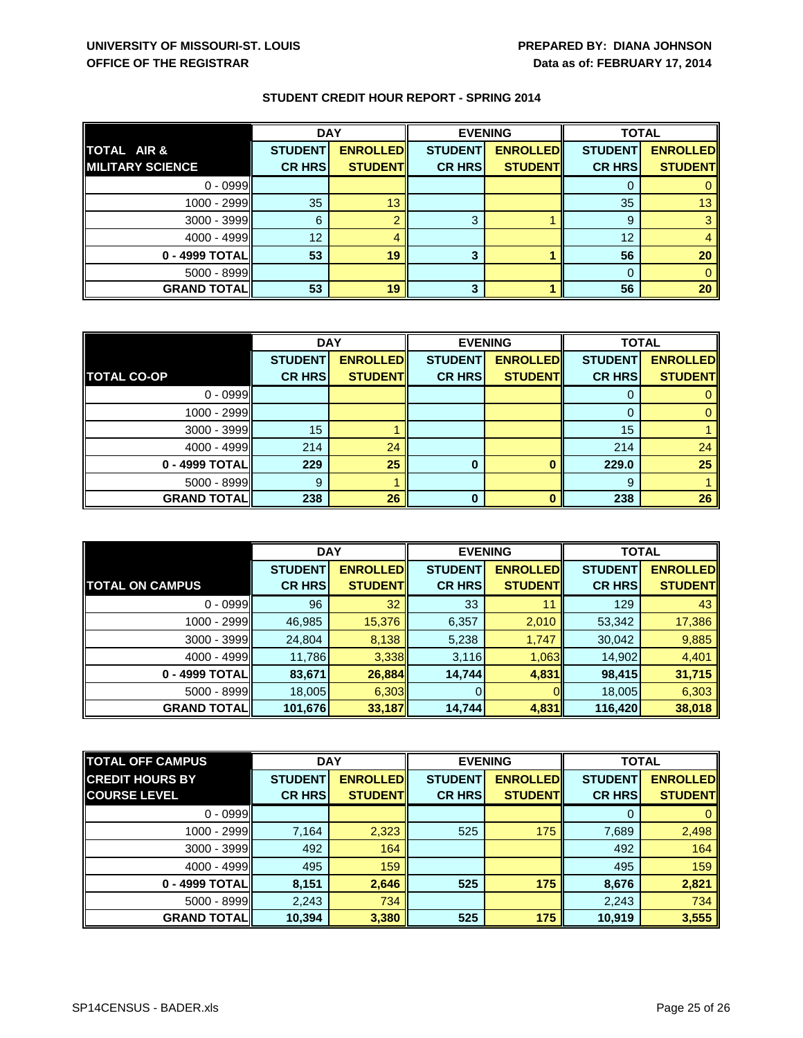|                         | <b>DAY</b>     |                 | <b>EVENING</b> |                 | <b>TOTAL</b>   |                 |
|-------------------------|----------------|-----------------|----------------|-----------------|----------------|-----------------|
| TOTAL AIR &             | <b>STUDENT</b> | <b>ENROLLED</b> | <b>STUDENT</b> | <b>ENROLLED</b> | <b>STUDENT</b> | <b>ENROLLED</b> |
| <b>MILITARY SCIENCE</b> | <b>CR HRS</b>  | <b>STUDENT</b>  | <b>CR HRS</b>  | <b>STUDENT</b>  | <b>CR HRS</b>  | <b>STUDENT</b>  |
| $0 - 0999$              |                |                 |                |                 |                |                 |
| 1000 - 2999             | 35             | 13              |                |                 | 35             | 13              |
| 3000 - 3999             | 6              |                 | 3              |                 | 9              |                 |
| $4000 - 4999$           | 12             |                 |                |                 | 12             |                 |
| 0 - 4999 TOTAL          | 53             | 19              | 3              |                 | 56             | 20              |
| 5000 - 8999             |                |                 |                |                 | 0              |                 |
| <b>GRAND TOTAL</b>      | 53             | 19              | 3              |                 | 56             | 20              |

|                    | <b>DAY</b>     |                 | <b>EVENING</b> |                 | <b>TOTAL</b>   |                 |
|--------------------|----------------|-----------------|----------------|-----------------|----------------|-----------------|
|                    | <b>STUDENT</b> | <b>ENROLLED</b> | <b>STUDENT</b> | <b>ENROLLED</b> | <b>STUDENT</b> | <b>ENROLLED</b> |
| <b>TOTAL CO-OP</b> | <b>CR HRS</b>  | <b>STUDENT</b>  | <b>CR HRS</b>  | <b>STUDENT</b>  | <b>CR HRS</b>  | <b>STUDENT</b>  |
| $0 - 0999$         |                |                 |                |                 |                |                 |
| 1000 - 2999        |                |                 |                |                 |                |                 |
| $3000 - 3999$      | 15             |                 |                |                 | 15             |                 |
| 4000 - 4999        | 214            | 24              |                |                 | 214            | 24              |
| 0 - 4999 TOTAL     | 229            | 25              | 0              |                 | 229.0          | 25              |
| 5000 - 8999        | 9              |                 |                |                 | 9              |                 |
| <b>GRAND TOTAL</b> | 238            | 26              | $\bf{0}$       |                 | 238            | 26              |

|                        | <b>DAY</b>     |                 | <b>EVENING</b> |                 | <b>TOTAL</b>   |                 |
|------------------------|----------------|-----------------|----------------|-----------------|----------------|-----------------|
|                        | <b>STUDENT</b> | <b>ENROLLED</b> | <b>STUDENT</b> | <b>ENROLLED</b> | <b>STUDENT</b> | <b>ENROLLED</b> |
| <b>TOTAL ON CAMPUS</b> | <b>CR HRS</b>  | <b>STUDENT</b>  | <b>CR HRS</b>  | <b>STUDENT</b>  | <b>CR HRS</b>  | <b>STUDENT</b>  |
| $0 - 0999$             | 96             | 32              | 33             |                 | 129            | 43              |
| 1000 - 2999            | 46,985         | 15,376          | 6,357          | 2,010           | 53,342         | 17,386          |
| $3000 - 3999$          | 24,804         | 8,138           | 5,238          | 1,747           | 30,042         | 9,885           |
| $4000 - 4999$          | 11,786         | 3,338           | 3,116          | 1,063           | 14,902         | 4,401           |
| 0 - 4999 TOTAL         | 83,671         | 26,884          | 14,744         | 4,831           | 98,415         | 31,715          |
| $5000 - 8999$          | 18,005         | 6,303           |                |                 | 18,005         | 6,303           |
| <b>GRAND TOTAL</b>     | 101,676        | 33,187          | 14,744         | 4,831           | 116,420        | 38,018          |

| <b>TOTAL OFF CAMPUS</b> | <b>DAY</b>     |                 | <b>EVENING</b> |                 | <b>TOTAL</b>   |                 |
|-------------------------|----------------|-----------------|----------------|-----------------|----------------|-----------------|
| <b>CREDIT HOURS BY</b>  | <b>STUDENT</b> | <b>ENROLLED</b> | <b>STUDENT</b> | <b>ENROLLED</b> | <b>STUDENT</b> | <b>ENROLLED</b> |
| <b>COURSE LEVEL</b>     | <b>CR HRS</b>  | <b>STUDENT</b>  | <b>CR HRS</b>  | <b>STUDENT</b>  | <b>CR HRS</b>  | <b>STUDENT</b>  |
| $0 - 0999$              |                |                 |                |                 | 0              |                 |
| 1000 - 2999             | 7,164          | 2,323           | 525            | 175             | 7,689          | 2,498           |
| $3000 - 3999$           | 492            | 164             |                |                 | 492            | 164             |
| $4000 - 4999$           | 495            | 159             |                |                 | 495            | 159             |
| 0 - 4999 TOTAL          | 8,151          | 2,646           | 525            | 175             | 8,676          | 2,821           |
| 5000 - 8999             | 2,243          | 734             |                |                 | 2,243          | 734             |
| <b>GRAND TOTAL</b>      | 10,394         | 3,380           | 525            | 175             | 10,919         | 3,555           |